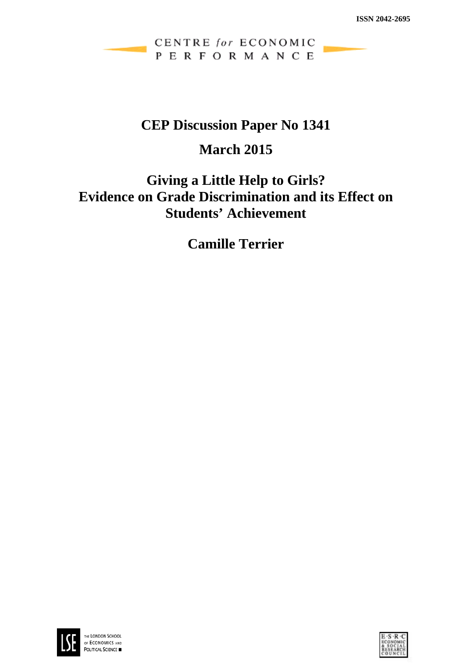CENTRE for ECONOMIC PERFORMANCE

# **CEP Discussion Paper No 1341**

# **March 2015**

# **Giving a Little Help to Girls? Evidence on Grade Discrimination and its Effect on Students' Achievement**

**Camille Terrier**



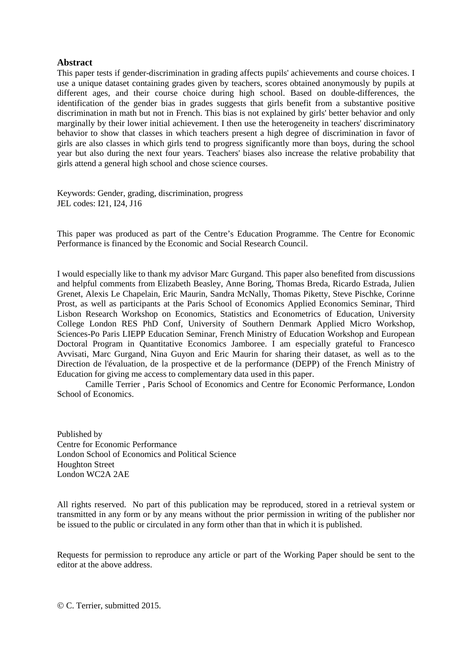### **Abstract**

This paper tests if gender-discrimination in grading affects pupils' achievements and course choices. I use a unique dataset containing grades given by teachers, scores obtained anonymously by pupils at different ages, and their course choice during high school. Based on double-differences, the identification of the gender bias in grades suggests that girls benefit from a substantive positive discrimination in math but not in French. This bias is not explained by girls' better behavior and only marginally by their lower initial achievement. I then use the heterogeneity in teachers' discriminatory behavior to show that classes in which teachers present a high degree of discrimination in favor of girls are also classes in which girls tend to progress significantly more than boys, during the school year but also during the next four years. Teachers' biases also increase the relative probability that girls attend a general high school and chose science courses.

Keywords: Gender, grading, discrimination, progress JEL codes: I21, I24, J16

This paper was produced as part of the Centre's Education Programme. The Centre for Economic Performance is financed by the Economic and Social Research Council.

I would especially like to thank my advisor Marc Gurgand. This paper also benefited from discussions and helpful comments from Elizabeth Beasley, Anne Boring, Thomas Breda, Ricardo Estrada, Julien Grenet, Alexis Le Chapelain, Eric Maurin, Sandra McNally, Thomas Piketty, Steve Pischke, Corinne Prost, as well as participants at the Paris School of Economics Applied Economics Seminar, Third Lisbon Research Workshop on Economics, Statistics and Econometrics of Education, University College London RES PhD Conf, University of Southern Denmark Applied Micro Workshop, Sciences-Po Paris LIEPP Education Seminar, French Ministry of Education Workshop and European Doctoral Program in Quantitative Economics Jamboree. I am especially grateful to Francesco Avvisati, Marc Gurgand, Nina Guyon and Eric Maurin for sharing their dataset, as well as to the Direction de l'évaluation, de la prospective et de la performance (DEPP) of the French Ministry of Education for giving me access to complementary data used in this paper.

Camille Terrier , Paris School of Economics and Centre for Economic Performance, London School of Economics.

Published by Centre for Economic Performance London School of Economics and Political Science Houghton Street London WC2A 2AE

All rights reserved. No part of this publication may be reproduced, stored in a retrieval system or transmitted in any form or by any means without the prior permission in writing of the publisher nor be issued to the public or circulated in any form other than that in which it is published.

Requests for permission to reproduce any article or part of the Working Paper should be sent to the editor at the above address.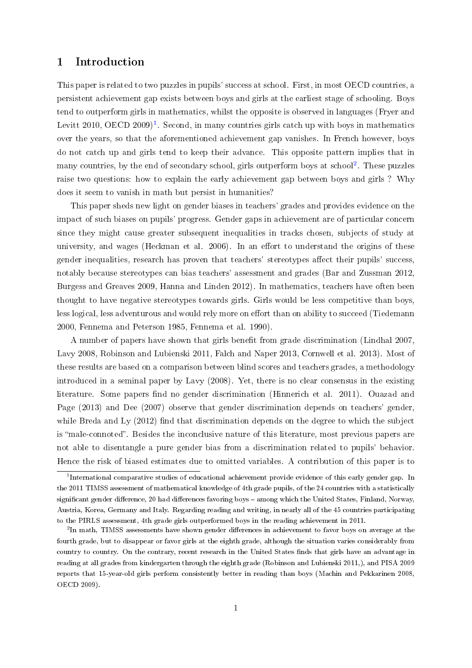# 1 Introduction

This paper is related to two puzzles in pupils' success at school. First, in most OECD countries, a persistent achievement gap exists between boys and girls at the earliest stage of schooling. Boys tend to outperform girls in mathematics, whilst the opposite is observed in languages (Fryer and Levitt 20[1](#page-2-0)0, OECD 2009)<sup>1</sup>. Second, in many countries girls catch up with boys in mathematics over the years, so that the aforementioned achievement gap vanishes. In French however, boys do not catch up and girls tend to keep their advance. This opposite pattern implies that in many countries, by the end of secondary school, girls outperform boys at school<sup>[2](#page-2-1)</sup>. These puzzles raise two questions: how to explain the early achievement gap between boys and girls ? Why does it seem to vanish in math but persist in humanities?

This paper sheds new light on gender biases in teachers' grades and provides evidence on the impact of such biases on pupils' progress. Gender gaps in achievement are of particular concern since they might cause greater subsequent inequalities in tracks chosen, subjects of study at university, and wages (Heckman et al. 2006). In an effort to understand the origins of these gender inequalities, research has proven that teachers' stereotypes affect their pupils' success. notably because stereotypes can bias teachers' assessment and grades (Bar and Zussman 2012, Burgess and Greaves 2009, Hanna and Linden 2012). In mathematics, teachers have often been thought to have negative stereotypes towards girls. Girls would be less competitive than boys, less logical, less adventurous and would rely more on effort than on ability to succeed (Tiedemann 2000, Fennema and Peterson 1985, Fennema et al. 1990).

A number of papers have shown that girls benefit from grade discrimination (Lindhal 2007, Lavy 2008, Robinson and Lubienski 2011, Falch and Naper 2013, Cornwell et al. 2013). Most of these results are based on a comparison between blind scores and teachers grades, a methodology introduced in a seminal paper by Lavy (2008). Yet, there is no clear consensus in the existing literature. Some papers find no gender discrimination (Hinnerich et al. 2011). Ouazad and Page (2013) and Dee (2007) observe that gender discrimination depends on teachers' gender, while Breda and Ly  $(2012)$  find that discrimination depends on the degree to which the subject is "male-connoted". Besides the inconclusive nature of this literature, most previous papers are not able to disentangle a pure gender bias from a discrimination related to pupils' behavior. Hence the risk of biased estimates due to omitted variables. A contribution of this paper is to

<span id="page-2-0"></span><sup>&</sup>lt;sup>1</sup>International comparative studies of educational achievement provide evidence of this early gender gap. In the 2011 TIMSS assessment of mathematical knowledge of 4th grade pupils, of the 24 countries with a statistically significant gender difference, 20 had differences favoring boys - among which the United States, Finland, Norway, Austria, Korea, Germany and Italy. Regarding reading and writing, in nearly all of the 45 countries participating to the PIRLS assessment, 4th grade girls outperformed boys in the reading achievement in 2011.

<span id="page-2-1"></span> $^{2}$ In math, TIMSS assessments have shown gender differences in achievement to favor boys on average at the fourth grade, but to disappear or favor girls at the eighth grade, although the situation varies considerably from country to country. On the contrary, recent research in the United States finds that girls have an advantage in reading at all grades from kindergarten through the eighth grade (Robinson and Lubienski 2011,), and PISA 2009 reports that 15-year-old girls perform consistently better in reading than boys (Machin and Pekkarinen 2008, OECD 2009).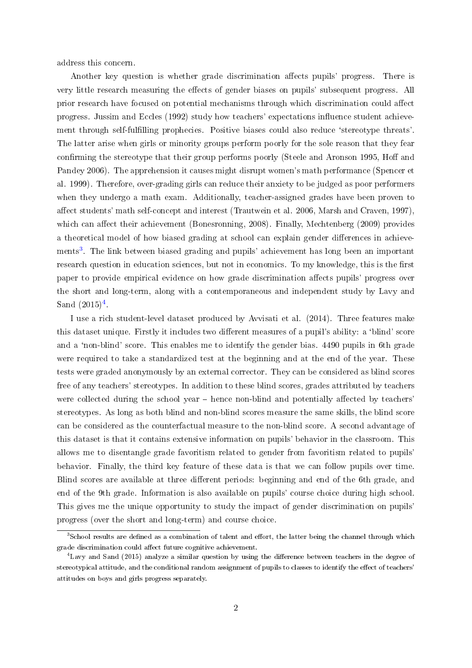address this concern.

Another key question is whether grade discrimination affects pupils' progress. There is very little research measuring the effects of gender biases on pupils' subsequent progress. All prior research have focused on potential mechanisms through which discrimination could affect progress. Jussim and Eccles (1992) study how teachers' expectations influence student achievement through self-fulfilling prophecies. Positive biases could also reduce 'stereotype threats'. The latter arise when girls or minority groups perform poorly for the sole reason that they fear confirming the stereotype that their group performs poorly (Steele and Aronson 1995, Hoff and Pandey 2006). The apprehension it causes might disrupt women's math performance (Spencer et al. 1999). Therefore, over-grading girls can reduce their anxiety to be judged as poor performers when they undergo a math exam. Additionally, teacher-assigned grades have been proven to affect students' math self-concept and interest (Trautwein et al. 2006, Marsh and Craven, 1997). which can affect their achievement (Bonesronning, 2008). Finally, Mechtenberg (2009) provides a theoretical model of how biased grading at school can explain gender differences in achieve-ments<sup>[3](#page-3-0)</sup>. The link between biased grading and pupils' achievement has long been an important research question in education sciences, but not in economics. To my knowledge, this is the first paper to provide empirical evidence on how grade discrimination affects pupils' progress over the short and long-term, along with a contemporaneous and independent study by Lavy and Sand  $(2015)^4$  $(2015)^4$ .

I use a rich student-level dataset produced by Avvisati et al. (2014). Three features make this dataset unique. Firstly it includes two different measures of a pupil's ability: a 'blind' score and a 'non-blind' score. This enables me to identify the gender bias. 4490 pupils in 6th grade were required to take a standardized test at the beginning and at the end of the year. These tests were graded anonymously by an external corrector. They can be considered as blind scores free of any teachers' stereotypes. In addition to these blind scores, grades attributed by teachers were collected during the school year  $-$  hence non-blind and potentially affected by teachers stereotypes. As long as both blind and non-blind scores measure the same skills, the blind score can be considered as the counterfactual measure to the non-blind score. A second advantage of this dataset is that it contains extensive information on pupils' behavior in the classroom. This allows me to disentangle grade favoritism related to gender from favoritism related to pupils' behavior. Finally, the third key feature of these data is that we can follow pupils over time. Blind scores are available at three different periods: beginning and end of the 6th grade, and end of the 9th grade. Information is also available on pupils' course choice during high school. This gives me the unique opportunity to study the impact of gender discrimination on pupils' progress (over the short and long-term) and course choice.

<span id="page-3-0"></span> $3$ School results are defined as a combination of talent and effort, the latter being the channel through which grade discrimination could affect future cognitive achievement.

<span id="page-3-1"></span><sup>&</sup>lt;sup>4</sup>Lavy and Sand (2015) analyze a similar question by using the difference between teachers in the degree of stereotypical attitude, and the conditional random assignment of pupils to classes to identify the effect of teachers attitudes on boys and girls progress separately.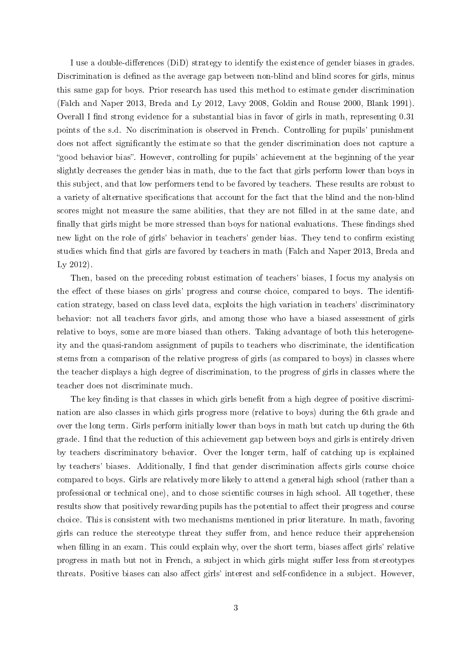I use a double-differences (DiD) strategy to identify the existence of gender biases in grades. Discrimination is defined as the average gap between non-blind and blind scores for girls, minus this same gap for boys. Prior research has used this method to estimate gender discrimination (Falch and Naper 2013, Breda and Ly 2012, Lavy 2008, Goldin and Rouse 2000, Blank 1991). Overall I find strong evidence for a substantial bias in favor of girls in math, representing 0.31 points of the s.d. No discrimination is observed in French. Controlling for pupils' punishment does not affect significantly the estimate so that the gender discrimination does not capture a "good behavior bias". However, controlling for pupils' achievement at the beginning of the year slightly decreases the gender bias in math, due to the fact that girls perform lower than boys in this subject, and that low performers tend to be favored by teachers. These results are robust to a variety of alternative specifications that account for the fact that the blind and the non-blind scores might not measure the same abilities, that they are not filled in at the same date, and finally that girls might be more stressed than boys for national evaluations. These findings shed new light on the role of girls' behavior in teachers' gender bias. They tend to confirm existing studies which find that girls are favored by teachers in math (Falch and Naper 2013, Breda and Ly 2012).

Then, based on the preceding robust estimation of teachers' biases, I focus my analysis on the effect of these biases on girls' progress and course choice, compared to boys. The identification strategy, based on class level data, exploits the high variation in teachers' discriminatory behavior: not all teachers favor girls, and among those who have a biased assessment of girls relative to boys, some are more biased than others. Taking advantage of both this heterogeneity and the quasi-random assignment of pupils to teachers who discriminate, the identification stems from a comparison of the relative progress of girls (as compared to boys) in classes where the teacher displays a high degree of discrimination, to the progress of girls in classes where the teacher does not discriminate much.

The key finding is that classes in which girls benefit from a high degree of positive discrimination are also classes in which girls progress more (relative to boys) during the 6th grade and over the long term. Girls perform initially lower than boys in math but catch up during the 6th grade. I find that the reduction of this achievement gap between boys and girls is entirely driven by teachers discriminatory behavior. Over the longer term, half of catching up is explained by teachers' biases. Additionally, I find that gender discrimination affects girls course choice compared to boys. Girls are relatively more likely to attend a general high school (rather than a professional or technical one), and to chose scientific courses in high school. All together, these results show that positively rewarding pupils has the potential to affect their progress and course choice. This is consistent with two mechanisms mentioned in prior literature. In math, favoring girls can reduce the stereotype threat they suffer from, and hence reduce their apprehension when filling in an exam. This could explain why, over the short term, biases affect girls' relative progress in math but not in French, a subject in which girls might suffer less from stereotypes threats. Positive biases can also affect girls' interest and self-confidence in a subject. However,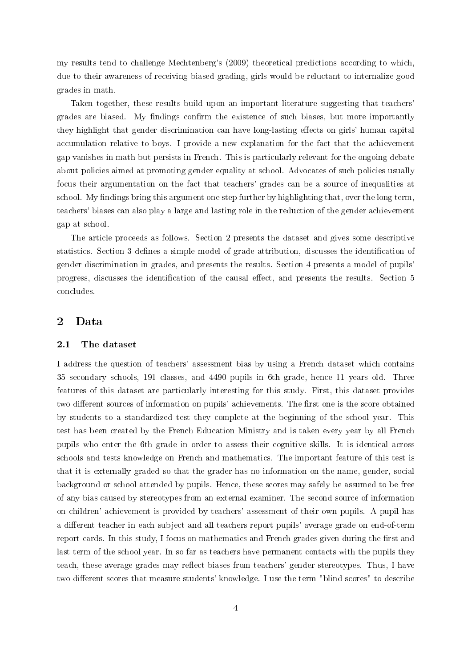my results tend to challenge Mechtenberg's (2009) theoretical predictions according to which, due to their awareness of receiving biased grading, girls would be reluctant to internalize good grades in math.

Taken together, these results build upon an important literature suggesting that teachers' grades are biased. My findings confirm the existence of such biases, but more importantly they highlight that gender discrimination can have long-lasting effects on girls' human capital accumulation relative to boys. I provide a new explanation for the fact that the achievement gap vanishes in math but persists in French. This is particularly relevant for the ongoing debate about policies aimed at promoting gender equality at school. Advocates of such policies usually focus their argumentation on the fact that teachers' grades can be a source of inequalities at school. My findings bring this argument one step further by highlighting that, over the long term. teachers' biases can also play a large and lasting role in the reduction of the gender achievement gap at school.

The article proceeds as follows. Section 2 presents the dataset and gives some descriptive statistics. Section 3 defines a simple model of grade attribution, discusses the identification of gender discrimination in grades, and presents the results. Section 4 presents a model of pupils' progress, discusses the identification of the causal effect, and presents the results. Section 5 concludes.

## 2 Data

#### 2.1 The dataset

I address the question of teachers' assessment bias by using a French dataset which contains 35 secondary schools, 191 classes, and 4490 pupils in 6th grade, hence 11 years old. Three features of this dataset are particularly interesting for this study. First, this dataset provides two different sources of information on pupils' achievements. The first one is the score obtained by students to a standardized test they complete at the beginning of the school year. This test has been created by the French Education Ministry and is taken every year by all French pupils who enter the 6th grade in order to assess their cognitive skills. It is identical across schools and tests knowledge on French and mathematics. The important feature of this test is that it is externally graded so that the grader has no information on the name, gender, social background or school attended by pupils. Hence, these scores may safely be assumed to be free of any bias caused by stereotypes from an external examiner. The second source of information on children' achievement is provided by teachers' assessment of their own pupils. A pupil has a different teacher in each subject and all teachers report pupils' average grade on end-of-term report cards. In this study, I focus on mathematics and French grades given during the first and last term of the school year. In so far as teachers have permanent contacts with the pupils they teach, these average grades may reflect biases from teachers' gender stereotypes. Thus, I have two different scores that measure students' knowledge. I use the term "blind scores" to describe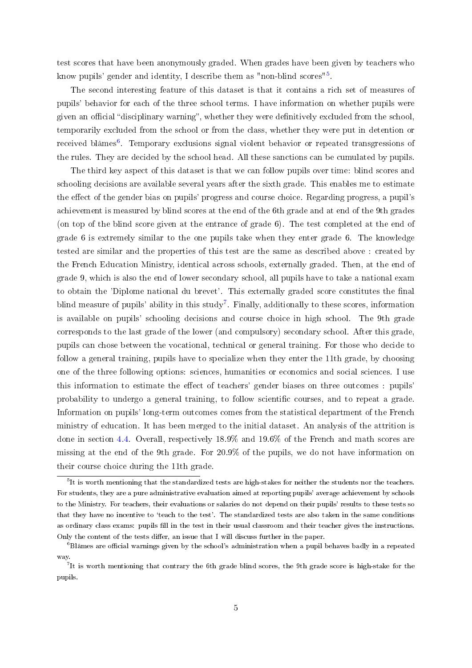test scores that have been anonymously graded. When grades have been given by teachers who know pupils' gender and identity, I describe them as "non-blind scores"<sup>[5](#page-6-0)</sup>.

The second interesting feature of this dataset is that it contains a rich set of measures of pupils' behavior for each of the three school terms. I have information on whether pupils were given an official "disciplinary warning", whether they were definitively excluded from the school, temporarily excluded from the school or from the class, whether they were put in detention or received blâmes<sup>[6](#page-6-1)</sup>. Temporary exclusions signal violent behavior or repeated transgressions of the rules. They are decided by the school head. All these sanctions can be cumulated by pupils.

The third key aspect of this dataset is that we can follow pupils over time: blind scores and schooling decisions are available several years after the sixth grade. This enables me to estimate the effect of the gender bias on pupils' progress and course choice. Regarding progress, a pupil's achievement is measured by blind scores at the end of the 6th grade and at end of the 9th grades (on top of the blind score given at the entrance of grade 6). The test completed at the end of grade 6 is extremely similar to the one pupils take when they enter grade 6. The knowledge tested are similar and the properties of this test are the same as described above : created by the French Education Ministry, identical across schools, externally graded. Then, at the end of grade 9, which is also the end of lower secondary school, all pupils have to take a national exam to obtain the 'Diplome national du brevet'. This externally graded score constitutes the final blind measure of pupils' ability in this study<sup>[7](#page-6-2)</sup>. Finally, additionally to these scores, information is available on pupils' schooling decisions and course choice in high school. The 9th grade corresponds to the last grade of the lower (and compulsory) secondary school. After this grade, pupils can chose between the vocational, technical or general training. For those who decide to follow a general training, pupils have to specialize when they enter the 11th grade, by choosing one of the three following options: sciences, humanities or economics and social sciences. I use this information to estimate the effect of teachers' gender biases on three outcomes : pupils' probability to undergo a general training, to follow scientific courses, and to repeat a grade. Information on pupils' long-term outcomes comes from the statistical department of the French ministry of education. It has been merged to the initial dataset. An analysis of the attrition is done in section [4.4.](#page-21-0) Overall, respectively 18.9% and 19.6% of the French and math scores are missing at the end of the 9th grade. For 20.9% of the pupils, we do not have information on their course choice during the 11th grade.

<span id="page-6-0"></span> $5$ It is worth mentioning that the standardized tests are high-stakes for neither the students nor the teachers. For students, they are a pure administrative evaluation aimed at reporting pupils' average achievement by schools to the Ministry. For teachers, their evaluations or salaries do not depend on their pupils' results to these tests so that they have no incentive to 'teach to the test'. The standardized tests are also taken in the same conditions as ordinary class exams: pupils fill in the test in their usual classroom and their teacher gives the instructions. Only the content of the tests differ, an issue that I will discuss further in the paper.

<span id="page-6-1"></span> $6B$ lâmes are official warnings given by the school's administration when a pupil behaves badly in a repeated way.

<span id="page-6-2"></span><sup>&</sup>lt;sup>7</sup>It is worth mentioning that contrary the 6th grade blind scores, the 9th grade score is high-stake for the pupils.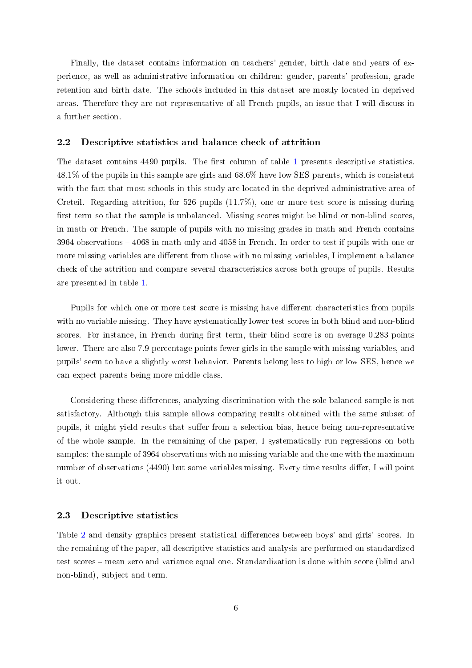Finally, the dataset contains information on teachers' gender, birth date and years of experience, as well as administrative information on children: gender, parents' profession, grade retention and birth date. The schools included in this dataset are mostly located in deprived areas. Therefore they are not representative of all French pupils, an issue that I will discuss in a further section.

#### 2.2 Descriptive statistics and balance check of attrition

The dataset contains  $4490$  pupils. The first column of table [1](#page-31-0) presents descriptive statistics. 48.1% of the pupils in this sample are girls and 68.6% have low SES parents, which is consistent with the fact that most schools in this study are located in the deprived administrative area of Creteil. Regarding attrition, for 526 pupils (11.7%), one or more test score is missing during first term so that the sample is unbalanced. Missing scores might be blind or non-blind scores, in math or French. The sample of pupils with no missing grades in math and French contains  $3964$  observations  $-4068$  in math only and  $4058$  in French. In order to test if pupils with one or more missing variables are different from those with no missing variables, I implement a balance check of the attrition and compare several characteristics across both groups of pupils. Results are presented in table [1.](#page-31-0)

Pupils for which one or more test score is [mis](#page-31-0)sing have different characteristics from pupils with no variable missing. They have systematically lower test scores in both blind and non-blind scores. For instance, in French during first term, their blind score is on average 0.283 points lower. There are also 7.9 percentage points fewer girls in the sample with missing variables, and pupils' seem to have a slightly worst behavior. Parents belong less to high or low SES, hence we can expect parents being more middle class.

Considering these differences, analyzing discrimination with the sole balanced sample is not satisfactory. Although this sample allows comparing results obtained with the same subset of pupils, it might yield results that suffer from a selection bias, hence being non-representative of the whole sample. In the remaining of the paper, I systematically run regressions on both samples: the sample of 3964 observations with no missing variable and the one with the maximum number of observations (4490) but some variables missing. Every time results differ, I will point it out.

#### 2.3 Descriptive statistics

Table [2](#page-32-0) and density graphics present statistical differences between boys' and girls' scores. In the remaining of the paper, all descriptive statistics and analysis are performed on standardized test scores - mean zero and variance equal one. Standardization is done within score (blind and non-blind), subject and term.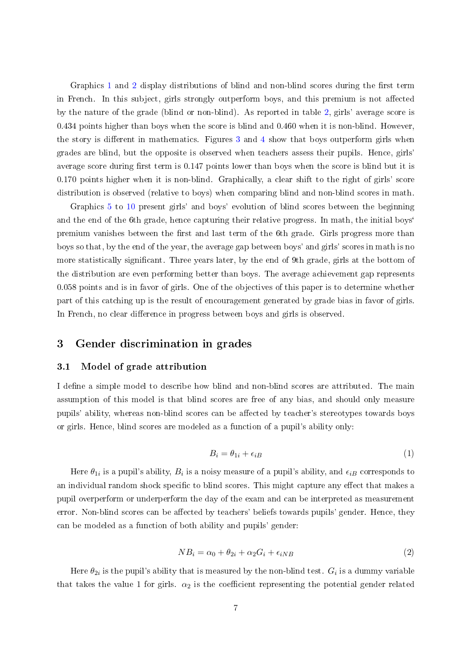Graphics [1](#page-32-1) and [2](#page-32-1) display distributions of blind and non-blind scores during the first term in French. In this subject, girls strongly outperform boys, and this premium is not affected by the nature of the grade (blind or non-blind). As reported in table [2,](#page-32-0) girls' average score is 0.434 points higher than boys when the score is blind and 0.460 when it is non-blind. However, the story is different in mathematics. Figures  $3$  and  $4$  show that boys outperform girls when grades are blind, but the opposite is observed when teachers assess their pupils. Hence, girls' average score during first term is 0.147 points lower than boys when the score is blind but it is 0.170 points higher when it is non-blind. Graphically, a clear shift to the right of girls' score distribution is observed (relative to boys) when comparing blind and non-blind scores in math.

Graphics [5](#page-33-1) to [10](#page-33-2) present girls' and boys' evolution of blind scores between the beginning and the end of the 6th grade, hence capturing their relative progress. In math, the initial boys' premium vanishes between the first and last term of the 6th grade. Girls progress more than boys so that, by the end of the year, the average gap between boys' and girls' scores in math is no more statistically signicant. Three years later, by the end of 9th grade, girls at the bottom of the distribution are even performing better than boys. The average achievement gap represents 0.058 points and is in favor of girls. One of the objectives of this paper is to determine whether part of this catching up is the result of encouragement generated by grade bias in favor of girls. In French, no clear difference in progress between boys and girls is observed.

# 3 Gender discrimination in grades

#### <span id="page-8-0"></span>3.1 Model of grade attribution

I define a simple model to describe how blind and non-blind scores are attributed. The main assumption of this model is that blind scores are free of any bias, and should only measure pupils' ability, whereas non-blind scores can be affected by teacher's stereotypes towards boys or girls. Hence, blind scores are modeled as a function of a pupil's ability only:

$$
B_i = \theta_{1i} + \epsilon_{iB} \tag{1}
$$

Here  $\theta_{1i}$  is a pupil's ability,  $B_i$  is a noisy measure of a pupil's ability, and  $\epsilon_{iB}$  corresponds to an individual random shock specific to blind scores. This might capture any effect that makes a pupil overperform or underperform the day of the exam and can be interpreted as measurement error. Non-blind scores can be affected by teachers' beliefs towards pupils' gender. Hence, they can be modeled as a function of both ability and pupils' gender:

$$
NB_i = \alpha_0 + \theta_{2i} + \alpha_2 G_i + \epsilon_{iNB}
$$
\n<sup>(2)</sup>

Here  $\theta_{2i}$  is the pupil's ability that is measured by the non-blind test.  $G_i$  is a dummy variable that takes the value 1 for girls.  $\alpha_2$  is the coefficient representing the potential gender related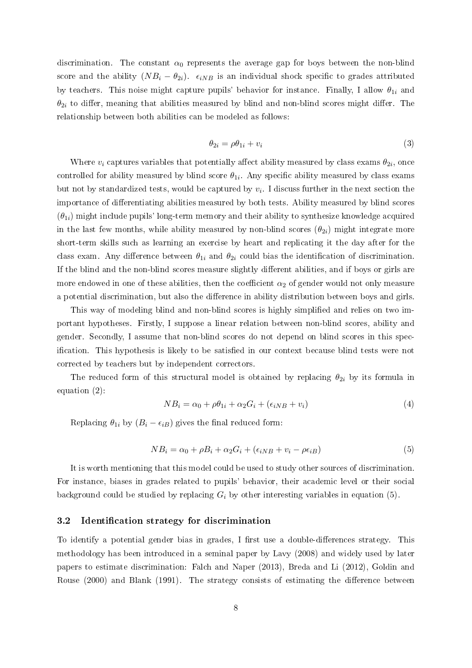discrimination. The constant  $\alpha_0$  represents the average gap for boys between the non-blind score and the ability  $(NB_i - \theta_{2i})$ .  $\epsilon_{iNB}$  is an individual shock specific to grades attributed by teachers. This noise might capture pupils' behavior for instance. Finally, I allow  $\theta_{1i}$  and  $\theta_{2i}$  to differ, meaning that abilities measured by blind and non-blind scores might differ. The relationship between both abilities can be modeled as follows:

<span id="page-9-1"></span>
$$
\theta_{2i} = \rho \theta_{1i} + v_i \tag{3}
$$

Where  $v_i$  captures variables that potentially affect ability measured by class exams  $\theta_{2i}$ , once controlled for ability measured by blind score  $\theta_{1i}$ . Any specific ability measured by class exams but not by standardized tests, would be captured by  $v_i$ . I discuss further in the next section the importance of differentiating abilities measured by both tests. Ability measured by blind scores  $(\theta_{1i})$  might include pupils' long-term memory and their ability to synthesize knowledge acquired in the last few months, while ability measured by non-blind scores  $(\theta_{2i})$  might integrate more short-term skills such as learning an exercise by heart and replicating it the day after for the class exam. Any difference between  $\theta_{1i}$  and  $\theta_{2i}$  could bias the identification of discrimination. If the blind and the non-blind scores measure slightly different abilities, and if boys or girls are more endowed in one of these abilities, then the coefficient  $\alpha_2$  of gender would not only measure a potential discrimination, but also the difference in ability distribution between boys and girls.

This way of modeling blind and non-blind scores is highly simplified and relies on two important hypotheses. Firstly, I suppose a linear relation between non-blind scores, ability and gender. Secondly, I assume that non-blind scores do not depend on blind scores in this specification. This hypothesis is likely to be satisfied in our context because blind tests were not corrected by teachers but by independent correctors.

The reduced form of this structural model is obtained by replacing  $\theta_{2i}$  by its formula in equation (2):

$$
NB_i = \alpha_0 + \rho \theta_{1i} + \alpha_2 G_i + (\epsilon_{iNB} + v_i)
$$
\n
$$
\tag{4}
$$

Replacing  $\theta_{1i}$  by  $(B_i - \epsilon_{iB})$  gives the final reduced form:

<span id="page-9-0"></span>
$$
NB_i = \alpha_0 + \rho B_i + \alpha_2 G_i + (\epsilon_{iNB} + v_i - \rho \epsilon_{iB})
$$
\n
$$
(5)
$$

It is worth mentioning that this model could be used to study other sources of discrimination. For instance, biases in grades related to pupils' behavior, their academic level or their social background could be studied by replacing  $G_i$  by other interesting variables in equation (5).

#### 3.2 Identification strategy for discrimination

To identify a potential gender bias in grades, I first use a double-differences strategy. This methodology has been introduced in a seminal paper by Lavy (2008) and widely used by later papers to estimate discrimination: Falch and Naper (2013), Breda and Li (2012), Goldin and Rouse  $(2000)$  and Blank  $(1991)$ . The strategy consists of estimating the difference between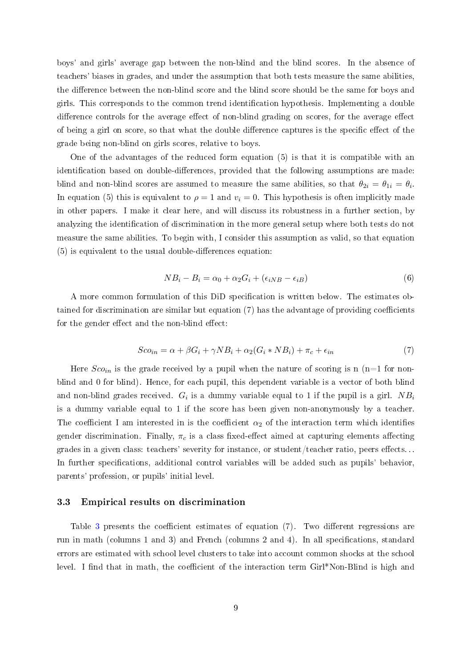boys' and girls' average gap between the non-blind and the blind scores. In the absence of teachers' biases in grades, and under the assumption that both tests measure the same abilities, the difference between the non-blind score and the blind score should be the same for boys and girls. This corresponds to the common trend identication hypothesis. Implementing a double difference controls for the average effect of non-blind grading on scores, for the average effect of being a girl on score, so that what the double difference captures is the specific effect of the grade being non-blind on girls scores, relative to boys.

One of the advantages of the reduced form equation (5) is that it is compatible with an identification based on double-differences, provided that the following assumptions are made: blind and non-blind scores are assumed to measure the same abilities, so that  $\theta_{2i} = \theta_{1i} = \theta_i$ . In equation (5) this is equivalent to  $\rho = 1$  and  $v_i = 0$ . This hypothesis is often implicitly made in other papers. I make it clear here, and will discuss its robustness in a further section, by analyzing the identification of discrimination in the more general setup where both tests do not measure the same abilities. To begin with, I consider this assumption as valid, so that equation  $(5)$  is equivalent to the usual double-differences equation:

<span id="page-10-0"></span>
$$
NB_i - B_i = \alpha_0 + \alpha_2 G_i + (\epsilon_{iNB} - \epsilon_{iB})
$$
\n
$$
(6)
$$

A more common formulation of this DiD specification is written below. The estimates obtained for discrimination are similar but equation  $(7)$  has the advantage of providing coefficients for the gender effect and the non-blind effect:

$$
Sco_{in} = \alpha + \beta G_i + \gamma NB_i + \alpha_2 (G_i * NB_i) + \pi_c + \epsilon_{in}
$$
\n<sup>(7)</sup>

Here  $Sco_{in}$  is the grade received by a pupil when the nature of scoring is n (n=1 for nonblind and 0 for blind). Hence, for each pupil, this dependent variable is a vector of both blind and non-blind grades received.  $G_i$  is a dummy variable equal to 1 if the pupil is a girl.  $NB_i$ is a dummy variable equal to 1 if the score has been given non-anonymously by a teacher. The coefficient I am interested in is the coefficient  $\alpha_2$  of the interaction term which identifies gender discrimination. Finally,  $\pi_c$  is a class fixed-effect aimed at capturing elements affecting grades in a given class: teachers' severity for instance, or student/teacher ratio, peers effects... In further specifications, additional control variables will be added such as pupils' behavior, parents' profession, or pupils' initial level.

#### 3.3 Empirical results on discrimination

Table 3 presents the coefficient estimates [of](#page-34-0) equation  $(7)$ . Two different regressions are run in m[ath](#page-34-0) (columns 1 and 3) and French (columns 2 and 4). In all specications, standard errors are estimated with school level clusters to take into account common shocks at the school level. I find that in math, the coefficient of the interaction term  $Girl*Non-Blind$  is high and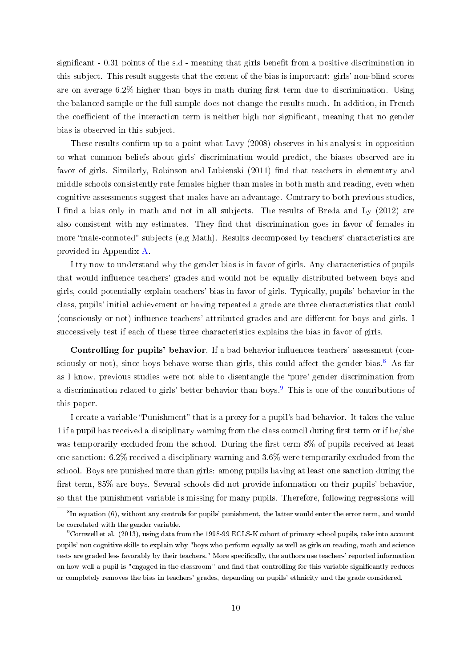significant - 0.31 points of the s.d - meaning that girls benefit from a positive discrimination in this subject. This result suggests that the extent of the bias is important: girls' non-blind scores are on average  $6.2\%$  higher than boys in math during first term due to discrimination. Using the balanced sample or the full sample does not change the results much. In addition, in French the coefficient of the interaction term is neither high nor significant, meaning that no gender bias is observed in this subject.

These results confirm up to a point what Lavy (2008) observes in his analysis: in opposition to what common beliefs about girls' discrimination would predict, the biases observed are in favor of girls. Similarly, Robinson and Lubienski (2011) find that teachers in elementary and middle schools consistently rate females higher than males in both math and reading, even when cognitive assessments suggest that males have an advantage. Contrary to both previous studies, I find a bias only in math and not in all subjects. The results of Breda and Ly (2012) are also consistent with my estimates. They find that discrimination goes in favor of females in more "male-connoted" subjects (e.g Math). Results decomposed by teachers' characteristics are provided in Appendix [A.](#page-41-0)

I try now to understand why the gender bias is in favor of girls. Any characteristics of pupils that would influence teachers' grades and would not be equally distributed between boys and girls, could potentially explain teachers' bias in favor of girls. Typically, pupils' behavior in the class, pupils' initial achievement or having repeated a grade are three characteristics that could (consciously or not) influence teachers' attributed grades and are different for boys and girls. I successively test if each of these three characteristics explains the bias in favor of girls.

Controlling for pupils' behavior. If a bad behavior influences teachers' assessment (con-sciously or not), since boys behave worse than girls, this could affect the gender bias.<sup>[8](#page-11-0)</sup> As far as I know, previous studies were not able to disentangle the `pure' gender discrimination from a discrimination related to girls' better behavior than boys.<sup>[9](#page-11-1)</sup> This is one of the contributions of this paper.

I create a variable "Punishment" that is a proxy for a pupil's bad behavior. It takes the value 1 if a pupil has received a disciplinary warning from the class council during first term or if he/she was temporarily excluded from the school. During the first term  $8\%$  of pupils received at least one sanction: 6.2% received a disciplinary warning and 3.6% were temporarily excluded from the school. Boys are punished more than girls: among pupils having at least one sanction during the first term, 85% are boys. Several schools did not provide information on their pupils' behavior, so that the punishment variable is missing for many pupils. Therefore, following regressions will

<span id="page-11-0"></span> ${}^{8}$ In equation (6), without any controls for pupils' punishment, the latter would enter the error term, and would be correlated with the gender variable.

<span id="page-11-1"></span><sup>9</sup>Cornwell et al. (2013), using data from the 1998-99 ECLS-K cohort of primary school pupils, take into account pupils' non cognitive skills to explain why "boys who perform equally as well as girls on reading, math and science tests are graded less favorably by their teachers." More specifically, the authors use teachers' reported information on how well a pupil is "engaged in the classroom" and find that controlling for this variable significantly reduces or completely removes the bias in teachers' grades, depending on pupils' ethnicity and the grade considered.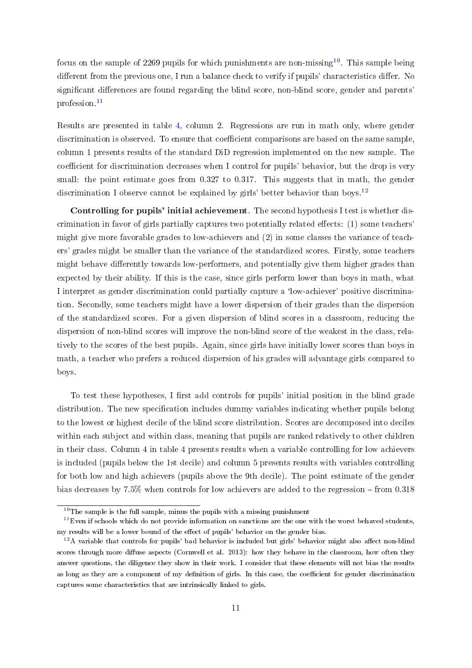focus on the sample of 2269 pupils for which punishments are non-missing<sup>[10](#page-12-0)</sup>. This sample being different from the previous one. I run a balance check to verify if pupils' characteristics differ. No significant differences are found regarding the blind score, non-blind score, gender and parents' profession.[11](#page-12-1)

Results are presented in table 4, column 2. [Reg](#page-35-0)ressions are run in math only, where gender discrimination is observed. To e[ns](#page-35-0)ure that coefficient comparisons are based on the same sample, column 1 presents results of the standard DiD regression implemented on the new sample. The coefficient for discrimination decreases when I control for pupils' behavior, but the drop is very small: the point estimate goes from 0.327 to 0.317. This suggests that in math, the gender discrimination I observe cannot be explained by girls' better behavior than boys.<sup>12</sup>

Controlling for pupils' initial achievement. The second hypothesis I test [is w](#page-12-2)hether discrimination in favor of girls partially captures two potentially related effects:  $(1)$  some teachers' might give more favorable grades to low-achievers and (2) in some classes the variance of teachers' grades might be smaller than the variance of the standardized scores. Firstly, some teachers might behave differently towards low-performers, and potentially give them higher grades than expected by their ability. If this is the case, since girls perform lower than boys in math, what I interpret as gender discrimination could partially capture a `low-achiever' positive discrimination. Secondly, some teachers might have a lower dispersion of their grades than the dispersion of the standardized scores. For a given dispersion of blind scores in a classroom, reducing the dispersion of non-blind scores will improve the non-blind score of the weakest in the class, relatively to the scores of the best pupils. Again, since girls have initially lower scores than boys in math, a teacher who prefers a reduced dispersion of his grades will advantage girls compared to boys.

To test these hypotheses, I first add controls for pupils' initial position in the blind grade distribution. The new specification includes dummy variables indicating whether pupils belong to the lowest or highest decile of the blind score distribution. Scores are decomposed into deciles within each subject and within class, meaning that pupils are ranked relatively to other children in their class. Column 4 in table 4 presents results when a variable controlling for low achievers is included (pupils below the 1st [de](#page-35-0)cile) and column 5 presents results with variables controlling for both low and high achievers (pupils above the 9th decile). The point estimate of the gender bias decreases by  $7.5\%$  when controls for low achievers are added to the regression – from  $0.318$ 

<span id="page-12-1"></span><span id="page-12-0"></span> $10$ The sample is the full sample, minus the pupils with a missing punishment

 $11$ Even if schools which do not provide information on sanctions are the one with the worst behaved students, my results will be a lower bound of the effect of pupils' behavior on the gender bias.

<span id="page-12-2"></span> $12A$  variable that controls for pupils' bad behavior is included but girls' behavior might also affect non-blind scores through more diffuse aspects (Cornwell et al. 2013): how they behave in the classroom, how often they answer questions, the diligence they show in their work. I consider that these elements will not bias the results as long as they are a component of my definition of girls. In this case, the coefficient for gender discrimination captures some characteristics that are intrinsically linked to girls.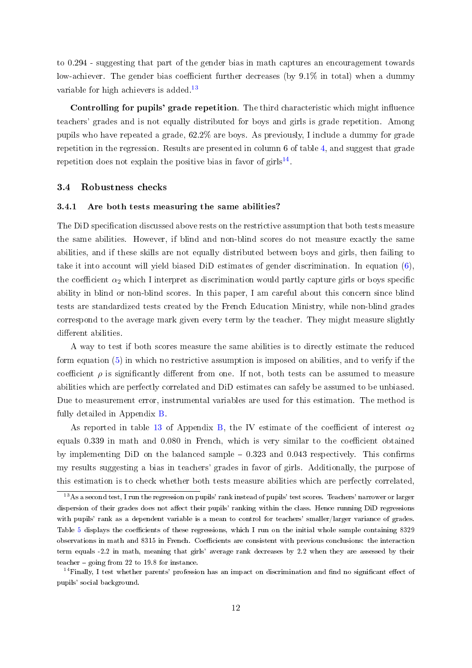to 0.294 - suggesting that part of the gender bias in math captures an encouragement towards low-achiever. The gender bias coefficient further decreases (by  $9.1\%$  in total) when a dummy variable for high achievers is added.<sup>[13](#page-13-0)</sup>

Controlling for pupils' grade repetition. The third characteristic which might influence teachers' grades and is not equally distributed for boys and girls is grade repetition. Among pupils who have repeated a grade, 62.2% are boys. As previously, I include a dummy for grade repetition in the regression. Results are presented in column 6 of table [4,](#page-35-0) and suggest that grade repetition does not explain the positive bias in favor of  $girls^{14}$  $girls^{14}$  $girls^{14}$ .

### 3.4 Robustness checks

#### 3.4.1 Are both tests measuring the same abilities?

The DiD specification discussed above rests on the restrictive assumption that both tests measure the same abilities. However, if blind and non-blind scores do not measure exactly the same abilities, and if these skills are not equally distributed between boys and girls, then failing to take it into account will yield biased DiD estimates of gender discrimination. In equation [\(6\)](#page-10-0), the coefficient  $\alpha_2$  which I interpret as discrimination would partly capture girls or boys specific ability in blind or non-blind scores. In this paper, I am careful about this concern since blind tests are standardized tests created by the French Education Ministry, while non-blind grades correspond to the average mark given every term by the teacher. They might measure slightly different abilities.

A way to test if both scores measure the same abilities is to directly estimate the reduced form equation [\(5\)](#page-9-0) in which no restrictive assumption is imposed on abilities, and to verify if the coefficient  $\rho$  is significantly different from one. If not, both tests can be assumed to measure abilities which are perfectly correlated and DiD estimates can safely be assumed to be unbiased. Due to measurement error, instrumental variables are used for this estimation. The method is fully detailed in Appendix [B.](#page-42-0)

As reported in table [13](#page-44-0) of Appendix [B,](#page-42-0) the IV estimate of the coefficient of interest  $\alpha_2$ equals  $0.339$  in math and  $0.080$  in French, which is very similar to the coefficient obtained by implementing DiD on the balanced sample  $-0.323$  and 0.043 respectively. This confirms my results suggesting a bias in teachers' grades in favor of girls. Additionally, the purpose of this estimation is to check whether both tests measure abilities which are perfectly correlated,

<span id="page-13-0"></span><sup>&</sup>lt;sup>13</sup>As a second test, I run the regression on pupils' rank instead of pupils' test scores. Teachers' narrower or larger dispersion of their grades does not affect their pupils' ranking within the class. Hence running DiD regressions with pupils' rank as a dependent variable is a mean to control for teachers' smaller/larger variance of grades. Table [5](#page-36-0) displays the coefficients of these regressions, which I run on the initial whole sample containing 8329 observations in math and 8315 in French. Coecients are consistent with previous conclusions: the interaction term equals -2.2 in math, meaning that girls' average rank decreases by 2.2 when they are assessed by their teacher  $-$  going from 22 to 19.8 for instance.

<span id="page-13-1"></span> $14$ Finally, I test whether parents' profession has an impact on discrimination and find no significant effect of pupils' social background.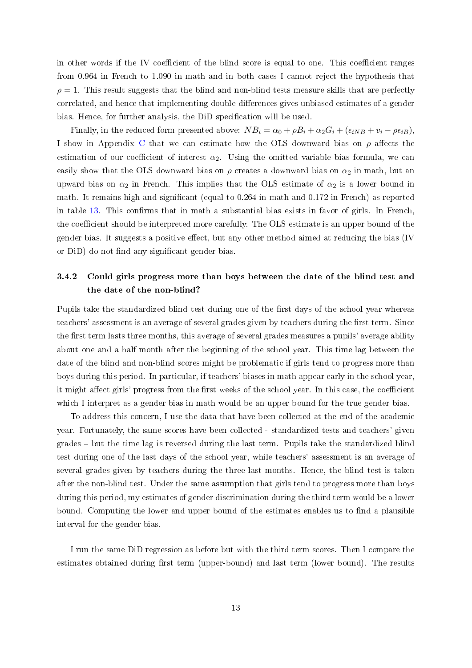in other words if the IV coefficient of the blind score is equal to one. This coefficient ranges from 0.964 in French to 1.090 in math and in both cases I cannot reject the hypothesis that  $\rho = 1$ . This result suggests that the blind and non-blind tests measure skills that are perfectly correlated, and hence that implementing double-differences gives unbiased estimates of a gender bias. Hence, for further analysis, the DiD specification will be used.

Finally, in the reduced form presented above:  $NB_i = \alpha_0 + \rho B_i + \alpha_2 G_i + (\epsilon_{iNB} + v_i - \rho \epsilon_{iB})$ , I show in Appendix [C](#page-45-0) that we can estimate how the OLS downward bias on  $\rho$  affects the estimation of our coefficient of interest  $\alpha_2$ . Using the omitted variable bias formula, we can easily show that the OLS downward bias on  $\rho$  creates a downward bias on  $\alpha_2$  in math, but an upward bias on  $\alpha_2$  in French. This implies that the OLS estimate of  $\alpha_2$  is a lower bound in math. It remains high and significant (equal to 0.264 in math and 0.172 in French) as reported in table  $13$ . This confirms that in math a substantial bias exists in favor of girls. In French the coefficient should be interpreted more carefully. The OLS estimate is an upper bound of the gender bias. It suggests a positive effect, but any other method aimed at reducing the bias  $(IV)$ or DiD) do not find any significant gender bias.

# 3.4.2 Could girls progress more than boys between the date of the blind test and the date of the non-blind?

Pupils take the standardized blind test during one of the first days of the school year whereas teachers' assessment is an average of several grades given by teachers during the first term. Since the first term lasts three months, this average of several grades measures a pupils' average ability about one and a half month after the beginning of the school year. This time lag between the date of the blind and non-blind scores might be problematic if girls tend to progress more than boys during this period. In particular, if teachers' biases in math appear early in the school year it might affect girls' progress from the first weeks of the school year. In this case, the coefficient which I interpret as a gender bias in math would be an upper bound for the true gender bias.

To address this concern, I use the data that have been collected at the end of the academic year. Fortunately, the same scores have been collected - standardized tests and teachers' given grades – but the time lag is reversed during the last term. Pupils take the standardized blind test during one of the last days of the school year, while teachers' assessment is an average of several grades given by teachers during the three last months. Hence, the blind test is taken after the non-blind test. Under the same assumption that girls tend to progress more than boys during this period, my estimates of gender discrimination during the third term would be a lower bound. Computing the lower and upper bound of the estimates enables us to find a plausible interval for the gender bias.

I run the same DiD regression as before but [w](#page-36-1)ith the third term scores. Then I compare the estimates obtained during first term (upper-bound) and last term (lower bound). The results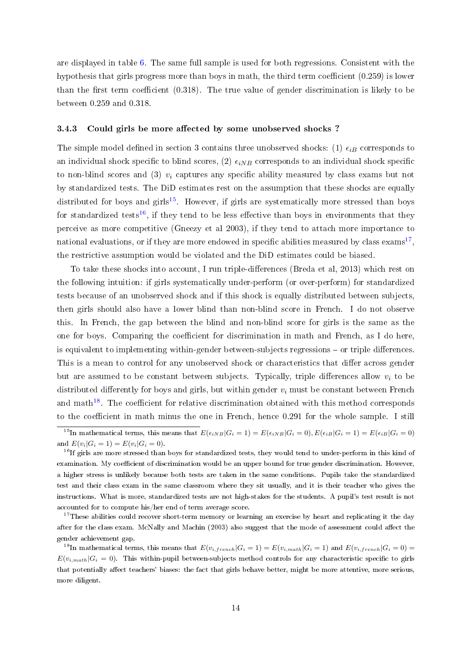are displayed in table [6.](#page-36-1) The same full sample is used for both regressions. Consistent with the hypothesis that girls progress more than boys in math, the third term coefficient  $(0.259)$  is lower than the first term coefficient  $(0.318)$ . The true value of gender discrimination is likely to be between 0.259 and 0.318.

#### 3.4.3 Could girls be more affected by some unobserved shocks?

The simple model defined in section 3 contains three unobserved shocks: (1)  $\epsilon_{iB}$  corresponds to an individual shock specific to blind scores, (2)  $\epsilon_{iNB}$  corresponds to an individual shock specific to non-blind scores and (3)  $v_i$  captures any specific ability measured by class exams but not by standardized tests. The DiD estimates rest on the assumption that these shocks are equally distributed for boys and girls<sup>[15](#page-15-0)</sup>. However, if girls are systematically more stressed than boys for standardized tests<sup>[16](#page-15-1)</sup>, if they tend to be less effective than boys in environments that they perceive as more competitive (Gneezy et al 2003), if they tend to attach more importance to national evaluations, or if they are more endowed in specific abilities measured by class  ${\rm exams}^{17},$  ${\rm exams}^{17},$  ${\rm exams}^{17},$ the restrictive assumption would be violated and the DiD estimates could be biased.

To take these shocks into account, I run triple-differences (Breda et al, 2013) which rest on the following intuition: if girls systematically under-perform (or over-perform) for standardized tests because of an unobserved shock and if this shock is equally distributed between subjects, then girls should also have a lower blind than non-blind score in French. I do not observe this. In French, the gap between the blind and non-blind score for girls is the same as the one for boys. Comparing the coefficient for discrimination in math and French, as I do here, is equivalent to implementing within-gender between-subjects regressions – or triple differences. This is a mean to control for any unobserved shock or characteristics that differ across gender but are assumed to be constant between subjects. Typically, triple differences allow  $v_i$  to be distributed differently for boys and girls, but within gender  $v_i$  must be constant between French and math<sup>[18](#page-15-3)</sup>. The coefficient for relative discrimination obtained with this method corresponds to the coefficient in math minus the one in French, hence 0.291 for the whole sample. I still

<span id="page-15-0"></span><sup>&</sup>lt;sup>15</sup>In mathematical terms, this means that  $E(\epsilon_{iNB}|G_i = 1) = E(\epsilon_{iNB}|G_i = 0), E(\epsilon_{iB}|G_i = 1) = E(\epsilon_{iB}|G_i = 0)$ and  $E(v_i|G_i = 1) = E(v_i|G_i = 0)$ .

<span id="page-15-1"></span> $^{16}$ If girls are more stressed than boys for standardized tests, they would tend to under-perform in this kind of examination. My coefficient of discrimination would be an upper bound for true gender discrimination. However, a higher stress is unlikely because both tests are taken in the same conditions. Pupils take the standardized test and their class exam in the same classroom where they sit usually, and it is their teacher who gives the instructions. What is more, standardized tests are not high-stakes for the students. A pupil's test result is not accounted for to compute his/her end of term average score.

<span id="page-15-2"></span><sup>&</sup>lt;sup>17</sup>These abilities could recover short-term memory or learning an exercise by heart and replicating it the day after for the class exam. McNally and Machin (2003) also suggest that the mode of assessment could affect the gender achievement gap.

<span id="page-15-3"></span><sup>&</sup>lt;sup>18</sup>In mathematical terms, this means that  $E(v_{i,french}|G_i = 1) = E(v_{i,math}|G_i = 1)$  and  $E(v_{i,french}|G_i = 0) =$  $E(v_{i,math} | G_i = 0)$ . This within-pupil between-subjects method controls for any characteristic specific to girls that potentially affect teachers' biases: the fact that girls behave better, might be more attentive, more serious, more diligent.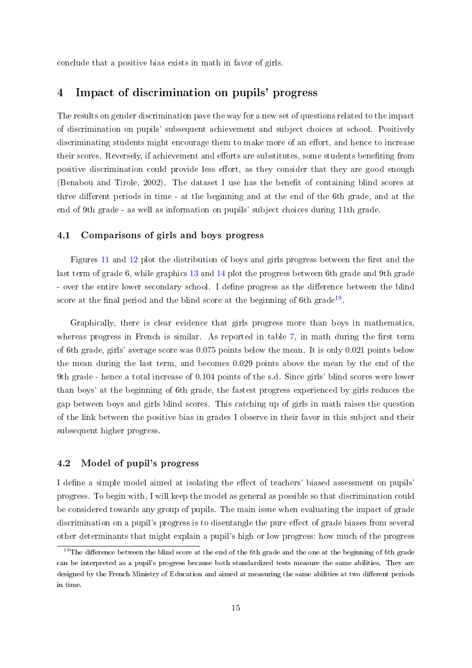conclude that a positive bias exists in math in favor of girls.

# 4 Impact of discrimination on pupils' progress

The results on gender discrimination pave the way for a new set of questions related to the impact of discrimination on pupils' subsequent achievement and subject choices at school. Positively discriminating students might encourage them to make more of an effort, and hence to increase their scores. Reversely, if achievement and efforts are substitutes, some students benefiting from positive discrimination could provide less effort, as they consider that they are good enough (Benabou and Tirole,  $2002$ ). The dataset I use has the benefit of containing blind scores at three different periods in time - at the beginning and at the end of the 6th grade, and at the end of 9th grade - as well as information on pupils' subject choices during 11th grade.

#### 4.1 Comparisons of girls and boys progress

Figures 11 and 12 plot the distr[ibu](#page-37-0)tion [of](#page-38-0) boys and girls pr[og](#page-37-1)ress between the first and the last term of [gra](#page-37-0)de [6, w](#page-37-0)hile graphics 13 and 14 plot the progress between 6th grade and 9th grade - over the entire lower secondary s[cho](#page-38-0)ol. [I d](#page-38-0)efine progress as the difference between the blind score at the final period and the blind score at the beginning of 6th grade<sup>19</sup>.

Graphically, there is clear evidence that girls progress more than [boy](#page-16-0)s in mathematics, whereas progress in French is similar. As reported in table  $7$ , in math during the first term of 6th grade, girls' average score was 0.075 points below the [mea](#page-37-1)n. It is only 0.021 points below the mean during the last term, and becomes 0.029 points above the mean by the end of the 9th grade - hence a total increase of 0.104 points of the s.d. Since girls' blind scores were lower than boys' at the beginning of 6th grade, the fastest progress experienced by girls reduces the gap between boys and girls blind scores. This catching up of girls in math raises the question of the link between the positive bias in grades I observe in their favor in this subject and their subsequent higher progress.

#### 4.2 Model of pupil's progress

I define a simple model aimed at isolating the effect of teachers' biased assessment on pupils' progress. To begin with, I will keep the model as general as possible so that discrimination could be considered towards any group of pupils. The main issue when evaluating the impact of grade discrimination on a pupil's progress is to disentangle the pure effect of grade biases from several other determinants that might explain a pupil's high or low progress: how much of the progress

<span id="page-16-0"></span><sup>&</sup>lt;sup>19</sup>The difference between the blind score at the end of the 6th grade and the one at the beginning of 6th grade can be interpreted as a pupil's progress because both standardized tests measure the same abilities. They are designed by the French Ministry of Education and aimed at measuring the same abilities at two different periods in time.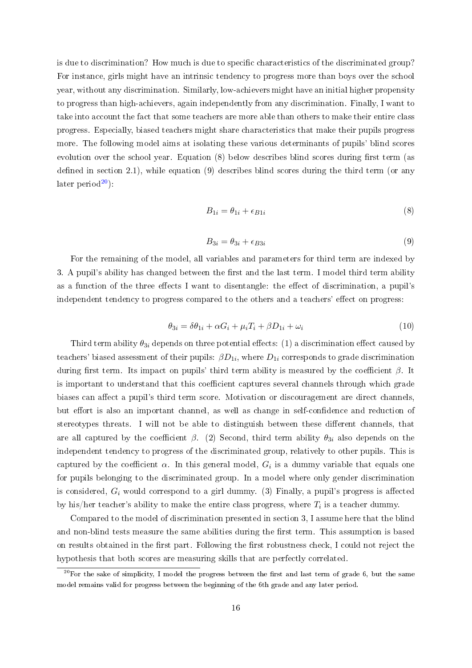is due to discrimination? How much is due to specific characteristics of the discriminated group? For instance, girls might have an intrinsic tendency to progress more than boys over the school year, without any discrimination. Similarly, low-achievers might have an initial higher propensity to progress than high-achievers, again independently from any discrimination. Finally, I want to take into account the fact that some teachers are more able than others to make their entire class progress. Especially, biased teachers might share characteristics that make their pupils progress more. The following model aims at isolating these various determinants of pupils' blind scores evolution over the school year. Equation  $(8)$  below describes blind scores during first term (as defined in section 2.1), while equation  $(9)$  describes blind scores during the third term (or any later period $^{20}$  $^{20}$  $^{20}$ ):

$$
B_{1i} = \theta_{1i} + \epsilon_{B1i} \tag{8}
$$

$$
B_{3i} = \theta_{3i} + \epsilon_{B3i} \tag{9}
$$

For the remaining of the model, all variables and parameters for third term are indexed by 3. A pupil's ability has changed between the first and the last term. I model third term ability as a function of the three effects I want to disentangle: the effect of discrimination, a pupil's independent tendency to progress compared to the others and a teachers' effect on progress:

$$
\theta_{3i} = \delta\theta_{1i} + \alpha G_i + \mu_i T_i + \beta D_{1i} + \omega_i \tag{10}
$$

Third term ability  $\theta_{3i}$  depends on three potential effects: (1) a discrimination effect caused by teachers' biased assessment of their pupils:  $\beta D_{1i}$ , where  $D_{1i}$  corresponds to grade discrimination during first term. Its impact on pupils' third term ability is measured by the coefficient  $\beta$ . It is important to understand that this coefficient captures several channels through which grade biases can affect a pupil's third term score. Motivation or discouragement are direct channels. but effort is also an important channel, as well as change in self-confidence and reduction of stereotypes threats. I will not be able to distinguish between these different channels, that are all captured by the coefficient  $\beta$ . (2) Second, third term ability  $\theta_{3i}$  also depends on the independent tendency to progress of the discriminated group, relatively to other pupils. This is captured by the coefficient  $\alpha$ . In this general model,  $G_i$  is a dummy variable that equals one for pupils belonging to the discriminated group. In a model where only gender discrimination is considered,  $G_i$  would correspond to a girl dummy. (3) Finally, a pupil's progress is affected by his/her teacher's ability to make the entire class progress, where  $T_i$  is a teacher dummy.

Compared to the model of discrimination presented in section 3, I assume here that the blind and non-blind tests measure the same abilities during the first term. This assumption is based on results obtained in the first part. Following the first robustness check, I could not reject the hypothesis that both scores are measuring skills that are perfectly correlated.

<span id="page-17-0"></span> $^{20}$ For the sake of simplicity, I model the progress between the first and last term of grade 6, but the same model remains valid for progress between the beginning of the 6th grade and any later period.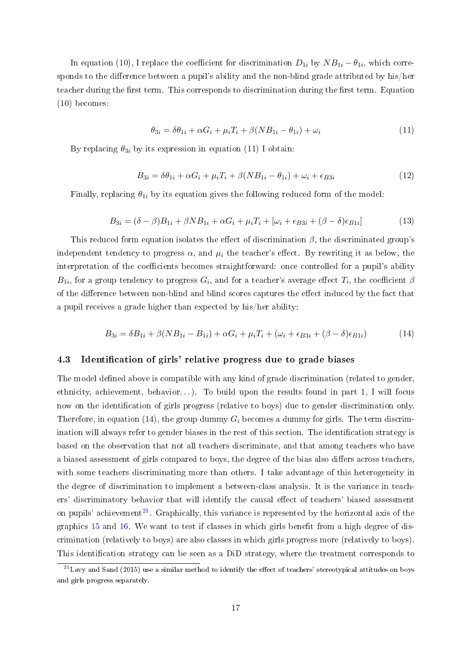In equation (10), I replace the coefficient for discrimination  $D_{1i}$  by  $NB_{1i} - \theta_{1i}$ , which corresponds to the difference between a pupil's ability and the non-blind grade attributed by his/her teacher during the first term. This corresponds to discrimination during the first term. Equation (10) becomes:

$$
\theta_{3i} = \delta\theta_{1i} + \alpha G_i + \mu_i T_i + \beta (NB_{1i} - \theta_{1i}) + \omega_i \tag{11}
$$

By replacing  $\theta_{3i}$  by its expression in equation (11) I obtain:

$$
B_{3i} = \delta\theta_{1i} + \alpha G_i + \mu_i T_i + \beta (NB_{1i} - \theta_{1i}) + \omega_i + \epsilon_{B3i}
$$
\n
$$
\tag{12}
$$

Finally, replacing  $\theta_{1i}$  by its equation gives the following reduced form of the model:

$$
B_{3i} = (\delta - \beta)B_{1i} + \beta NB_{1i} + \alpha G_i + \mu_i T_i + [\omega_i + \epsilon_{B3i} + (\beta - \delta)\epsilon_{B1i}] \tag{13}
$$

This reduced form equation isolates the effect of discrimination  $\beta$ , the discriminated group's independent tendency to progress  $\alpha$ , and  $\mu_i$  the teacher's effect. By rewriting it as below, the interpretation of the coefficients becomes straightforward: once controlled for a pupil's ability  $B_{1i}$ , for a group tendency to progress  $G_i,$  and for a teacher's average effect  $T_i,$  the coefficient  $\beta$ of the difference between non-blind and blind scores captures the effect induced by the fact that a pupil receives a grade higher than expected by his/her ability:

$$
B_{3i} = \delta B_{1i} + \beta (NB_{1i} - B_{1i}) + \alpha G_i + \mu_i T_i + (\omega_i + \epsilon_{B3i} + (\beta - \delta)\epsilon_{B1i})
$$
(14)

#### 4.3 Identification of girls' relative progress due to grade biases

The model defined above is compatible with any kind of grade discrimination (related to gender, ethnicity, achievement, behavior...). To build upon the results found in part 1, I will focus now on the identification of girls progress (relative to boys) due to gender discrimination only. Therefore, in equation (14), the group dummy  $G_i$  becomes a dummy for girls. The term discrimination will always refer to gender biases in the rest of this section. The identification strategy is based on the observation that not all teachers discriminate, and that among teachers who have a biased assessment of girls compared to boys, the degree of the bias also differs across teachers. with some teachers discriminating more than others. I take advantage of this heterogeneity in the degree of discrimination to implement a between-class analysis. It is the variance in teachers' discriminatory behavior that will identify the causal effect of teachers' biased assessment on pupils' achievement<sup>[21](#page-18-0)</sup>. Graphically, this variance is represented by the horizontal axis of the graphics  $15$  and  $16$ . We want to test if classes in which girls benefit from a high degree of discrimination (relatively to boys) are also classes in which girls progress more (relatively to boys). This identification strategy can be seen as a DiD strategy, where the treatment corresponds to

<span id="page-18-0"></span> $^{21}$ Lavy and Sand (2015) use a similar method to identify the effect of teachers' stereotypical attitudes on boys and girls progress separately.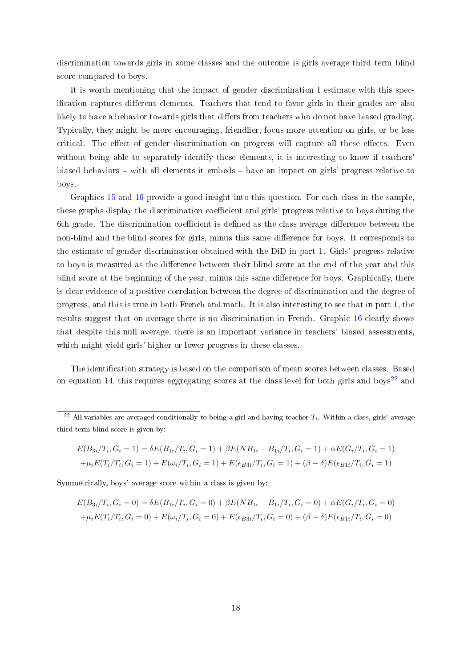discrimination towards girls in some classes and the outcome is girls average third term blind score compared to boys.

It is worth mentioning that the impact of gender discrimination I estimate with this specification captures different elements. Teachers that tend to favor girls in their grades are also likely to have a behavior towards girls that differs from teachers who do not have biased grading. Typically, they might be more encouraging, friendlier, focus more attention on girls, or be less critical. The effect of gender discrimination on progress will capture all these effects. Even without being able to separately identify these elements, it is interesting to know if teachers' biased behaviors – with all elements it embeds – have an impact on girls' progress relative to boys.

Graphics [15](#page-38-1) and [16](#page-38-1) provide a good insight into this question. For each class in the sample, these graphs display the discrimination coefficient and girls' progress relative to boys during the 6th grade. The discrimination coefficient is defined as the class average difference between the non-blind and the blind scores for girls, minus this same difference for boys. It corresponds to the estimate of gender discrimination obtained with the DiD in part 1. Girls' progress relative to boys is measured as the difference between their blind score at the end of the year and this blind score at the beginning of the year, minus this same difference for boys. Graphically, there is clear evidence of a positive correlation between the degree of discrimination and the degree of progress, and this is true in both French and math. It is also interesting to see that in part 1, the results suggest that on average there is no discrimination in French. Graphic [16](#page-38-1) clearly shows that despite this null average, there is an important variance in teachers' biased assessments, which might yield girls' higher or lower progress in these classes.

The identification strategy is based on th[e co](#page-38-1)mpar[ison](#page-38-1) of mean scores between classes. Based on equation 14, this requires aggregating scores at the class level for both girls and boys<sup>22</sup> and

$$
E(B_{3i}/T_i, G_i = 1) = \delta E(B_{1i}/T_i, G_i = 1) + \beta E(NB_{1i} - B_{1i}/T_i, G_i = 1) + \alpha E(G_i/T_i, G_i = 1)
$$
  
+  $\mu_i E(T_i/T_i, G_i = 1) + E(\omega_i/T_i, G_i = 1) + E(\epsilon_{B3i}/T_i, G_i = 1) + (\beta - \delta)E(\epsilon_{B1i}/T_i, G_i = 1)$ 

Symmetrically, boys' average score within a class is given by:

$$
E(B_{3i}/T_i, G_i = 0) = \delta E(B_{1i}/T_i, G_i = 0) + \beta E(NB_{1i} - B_{1i}/T_i, G_i = 0) + \alpha E(G_i/T_i, G_i = 0)
$$
  
+  $\mu_i E(T_i/T_i, G_i = 0) + E(\omega_i/T_i, G_i = 0) + E(\epsilon_{B3i}/T_i, G_i = 0) + (\beta - \delta)E(\epsilon_{B1i}/T_i, G_i = 0)$ 

<sup>&</sup>lt;sup>22</sup> All variables are averaged conditionally to being a girl and having teacher  $T_i$ . Within a class, girls' average third term blind score is given by: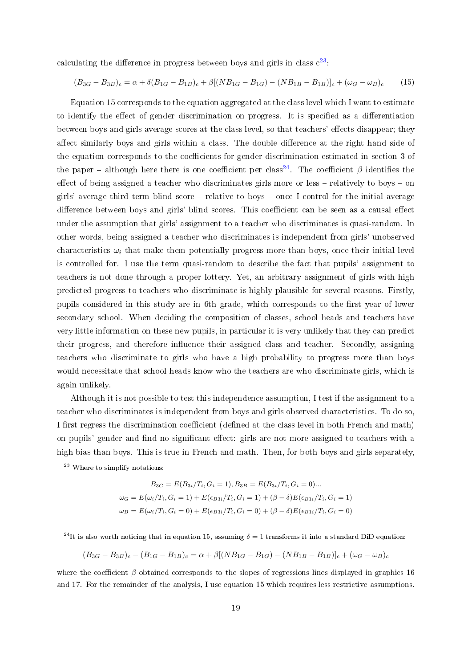calculating the difference in progress between boys and girls in class  $c^{23}$  $c^{23}$  $c^{23}$ :

$$
(B_{3G} - B_{3B})_c = \alpha + \delta (B_{1G} - B_{1B})_c + \beta [(NB_{1G} - B_{1G}) - (NB_{1B} - B_{1B})]_c + (\omega_G - \omega_B)_c \tag{15}
$$

Equation 15 corresponds to the equation aggregated at the class level which I want to estimate to identify the effect of gender discrimination on progress. It is specified as a differentiation between boys and girls average scores at the class level, so that teachers' effects disappear; they affect similarly boys and girls within a class. The double difference at the right hand side of the equation corresponds to the coefficients for gender discrimination estimated in section 3 of the paper – although here there is one coefficient per class<sup>[24](#page-20-1)</sup>. The coefficient  $\beta$  identifies the effect of being assigned a teacher who discriminates girls more or less  $-$  relatively to boys  $-$  on girls' average third term blind score  $-$  relative to boys  $-$  once I control for the initial average difference between boys and girls' blind scores. This coefficient can be seen as a causal effect under the assumption that girls' assignment to a teacher who discriminates is quasi-random. In other words, being assigned a teacher who discriminates is independent from girls' unobserved characteristics  $\omega_i$  that make them potentially progress more than boys, once their initial level is controlled for. I use the term quasi-random to describe the fact that pupils' assignment to teachers is not done through a proper lottery. Yet, an arbitrary assignment of girls with high predicted progress to teachers who discriminate is highly plausible for several reasons. Firstly, pupils considered in this study are in 6th grade, which corresponds to the first year of lower secondary school. When deciding the composition of classes, school heads and teachers have very little information on these new pupils, in particular it is very unlikely that they can predict their progress, and therefore influence their assigned class and teacher. Secondly, assigning teachers who discriminate to girls who have a high probability to progress more than boys would necessitate that school heads know who the teachers are who discriminate girls, which is again unlikely.

Although it is not possible to test this independence assumption, I test if the assignment to a teacher who discriminates is independent from boys and girls observed characteristics. To do so, I first regress the discrimination coefficient (defined at the class level in both French and math) on pupils' gender and find no significant effect: girls are not more assigned to teachers with a high bias than boys. This is true in French and math. Then, for both boys and girls separately,

 $B_{3G} = E(B_{3i}/T_i, G_i = 1), B_{3B} = E(B_{3i}/T_i, G_i = 0)$ ...  $\omega_G = E(\omega_i/T_i, G_i = 1) + E(\epsilon_{B3i}/T_i, G_i = 1) + (\beta - \delta)E(\epsilon_{B1i}/T_i, G_i = 1)$  $\omega_B = E(\omega_i/T_i, G_i = 0) + E(\epsilon_{B3i}/T_i, G_i = 0) + (\beta - \delta)E(\epsilon_{B1i}/T_i, G_i = 0)$ 

<span id="page-20-1"></span><sup>24</sup>It is also worth noticing that in equation 15, assuming  $\delta = 1$  transforms it into a standard DiD equation:

$$
(B_{3G} - B_{3B})_c - (B_{1G} - B_{1B})_c = \alpha + \beta [(NB_{1G} - B_{1G}) - (NB_{1B} - B_{1B})]_c + (\omega_G - \omega_B)_c
$$

where the coefficient  $\beta$  obtained corresponds to the slopes of regressions lines displayed in graphics 16 and 17. For the remainder of the analysis, I use equation 15 which requires less restrictive assumptions.

<span id="page-20-0"></span><sup>23</sup> Where to simplify notations: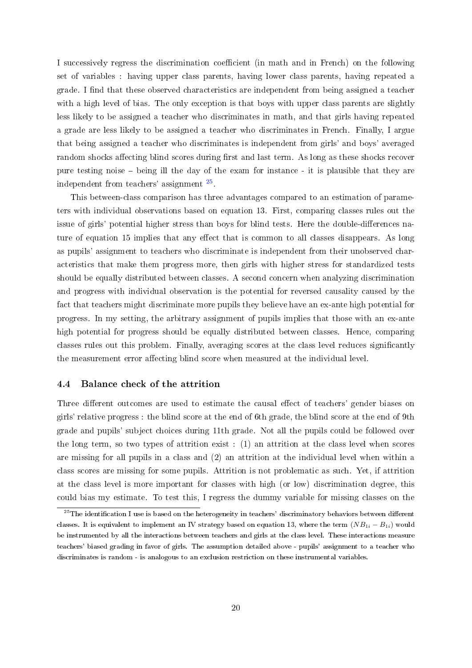I successively regress the discrimination coefficient (in math and in French) on the following set of variables : having upper class parents, having lower class parents, having repeated a grade. I find that these observed characteristics are independent from being assigned a teacher with a high level of bias. The only exception is that boys with upper class parents are slightly less likely to be assigned a teacher who discriminates in math, and that girls having repeated a grade are less likely to be assigned a teacher who discriminates in French. Finally, I argue that being assigned a teacher who discriminates is independent from girls' and boys' averaged random shocks affecting blind scores during first and last term. As long as these shocks recover pure testing noise being ill the day of the exam for instance - it is plausible that they are independent from teachers' assignment [25](#page-21-1) .

This between-class comparison has three advantages compared to an estimation of parameters with individual observations based on equation 13. First, comparing classes rules out the issue of girls' potential higher stress than boys for blind tests. Here the double-differences nature of equation 15 implies that any effect that is common to all classes disappears. As long as pupils' assignment to teachers who discriminate is independent from their unobserved characteristics that make them progress more, then girls with higher stress for standardized tests should be equally distributed between classes. A second concern when analyzing discrimination and progress with individual observation is the potential for reversed causality caused by the fact that teachers might discriminate more pupils they believe have an ex-ante high potential for progress. In my setting, the arbitrary assignment of pupils implies that those with an ex-ante high potential for progress should be equally distributed between classes. Hence, comparing classes rules out this problem. Finally, averaging scores at the class level reduces signicantly the measurement error affecting blind score when measured at the individual level.

#### <span id="page-21-0"></span>4.4 Balance check of the attrition

Three different outcomes are used to estimate the causal effect of teachers' gender biases on girls' relative progress : the blind score at the end of 6th grade, the blind score at the end of 9th grade and pupils' subject choices during 11th grade. Not all the pupils could be followed over the long term, so two types of attrition exist : (1) an attrition at the class level when scores are missing for all pupils in a class and (2) an attrition at the individual level when within a class scores are missing for some pupils. Attrition is not problematic as such. Yet, if attrition at the class level is more important for classes with high (or low) discrimination degree, this could bias my estimate. To test this, I regress the dummy variable for missing classes on the

<span id="page-21-1"></span> $^{25}$ The identification I use is based on the heterogeneity in teachers' discriminatory behaviors between different classes. It is equivalent to implement an IV strategy based on equation 13, where the term  $(NB_{1i} - B_{1i})$  would be instrumented by all the interactions between teachers and girls at the class level. These interactions measure teachers' biased grading in favor of girls. The assumption detailed above - pupils' assignment to a teacher who discriminates is random - is analogous to an exclusion restriction on these instrumental variables.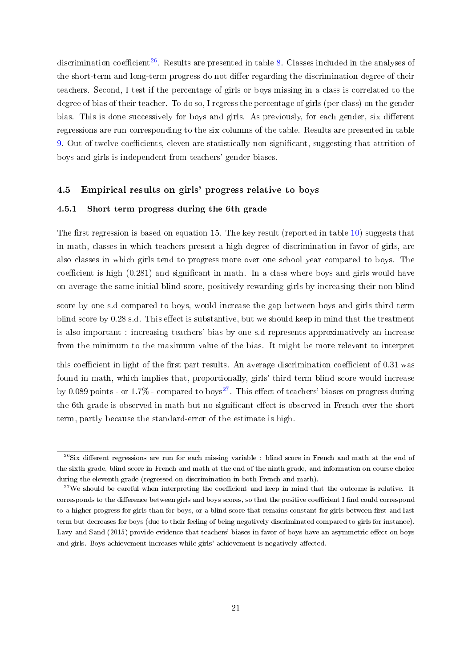discrimination coefficient<sup>[26](#page-22-0)</sup>. Results are presented in table [8.](#page-39-0) Classes included in the analyses of the short-term and long-term progress do not differ regarding the discrimination degree of their teachers. Second, I test if the percentage of girls or boys missing in a class is correlated to the degree of bias of their teacher. To do so, I regress the percentage of girls (per class) on the gender bias. This is done successively for boys and girls. As previously, for each gender, six different regressions are run corresponding to the six columns of the table. Results are presented in table [9.](#page-39-1) Out of twelve coefficients, eleven are statistically non significant, suggesting that attrition of boys and girls is independent from teachers' gender biases.

### 4.5 Empirical results on girls' progress relative to boys

### 4.5.1 Short term progress during the 6th grade

The first regression is based on equation 15. The key result (reported in table 10) suggests that in math, classes in which teachers present a h[igh](#page-40-0) degree of discrimination in favor of girls, are also classes in which girls tend to progress more over one school year compared to boys. The coefficient is high  $(0.281)$  and significant in math. In a class where boys and [gir](#page-40-0)ls would have on average the same initial blind score, positively rewarding girls by increasing their non-blind

score by one s.d compared to boys, would increase the gap between boys and girls third term blind score by  $0.28$  s.d. This effect is substantive, but we should keep in mind that the treatment is also important : increasing teachers' bias by one s.d represents approximatively an increase from the minimum to the maximum value of the bias. It might be more relevant to interpret

this coefficient in light of the first part results. An average discrimination coefficient of  $0.31$  was found in math, which implies that, proportionally, girls' third term blind score would increase by 0.089 points - or 1.7% - compared to boys<sup>27</sup>. This effect of teachers' biases on progress during the 6th grade is observed in math but no significant effect is observed in French over the short term, partly because the standard-error of [the](#page-22-1) estimate is high.

<span id="page-22-0"></span> $^{26}$ Six different regressions are run for each missing variable : blind score in French and math at the end of the sixth grade, blind score in French and math at the end of the ninth grade, and information on course choice during the eleventh grade (regressed on discrimination in both French and math).

<span id="page-22-1"></span> $27$ We should be careful when interpreting the coefficient and keep in mind that the outcome is relative. It corresponds to the difference between girls and boys scores, so that the positive coefficient I find could correspond to a higher progress for girls than for boys, or a blind score that remains constant for girls between first and last term but decreases for boys (due to their feeling of being negatively discriminated compared to girls for instance). Lavy and Sand (2015) provide evidence that teachers' biases in favor of boys have an asymmetric effect on boys and girls. Boys achievement increases while girls' achievement is negatively affected.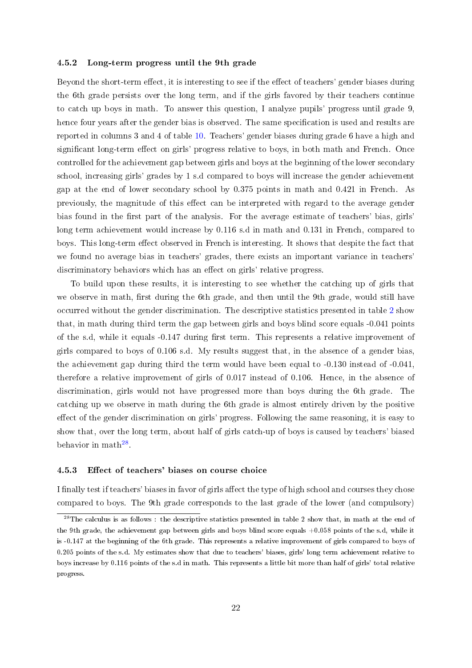#### 4.5.2 Long-term progress until the 9th grade

Beyond the short-term effect, it is interesting to see if the effect of teachers' gender biases during the 6th grade persists over the long term, and if the girls favored by their teachers continue to catch up boys in math. To answer this question, I analyze pupils' progress until grade 9, hence four years after the gender bias is observed. The same specification is used and results are reported in columns 3 and 4 of table [10.](#page-40-0) Teachers' gender biases during grade 6 have a high and significant long-term effect on girls' progress relative to boys, in both math and French. Once controlled for the achievement gap between girls and boys at the beginning of the lower secondary school, increasing girls' grades by 1 s.d compared to boys will increase the gender achievement gap at the end of lower secondary school by 0.375 points in math and 0.421 in French. As previously, the magnitude of this effect can be interpreted with regard to the average gender bias found in the first part of the analysis. For the average estimate of teachers' bias, girls' long term achievement would increase by 0.116 s.d in math and 0.131 in French, compared to boys. This long-term effect observed in French is interesting. It shows that despite the fact that we found no average bias in teachers' grades, there exists an important variance in teachers' discriminatory behaviors which has an effect on girls' relative progress.

To build upon these results, it is interesting to see whether the catching up of girls that we observe in math, first during the 6th grade, and then until the 9th grade, would still have occurred without the gender discrimination. The descriptive statistics presented in table [2](#page-32-0) show that, in math during third term the gap between girls and boys blind score equals -0.041 points of the s.d, while it equals -0.147 during first term. This represents a relative improvement of girls compared to boys of 0.106 s.d. My results suggest that, in the absence of a gender bias, the achievement gap during third the term would have been equal to -0.130 instead of -0.041, therefore a relative improvement of girls of 0.017 instead of 0.106. Hence, in the absence of discrimination, girls would not have progressed more than boys during the 6th grade. The catching up we observe in math during the 6th grade is almost entirely driven by the positive effect of the gender discrimination on girls' progress. Following the same reasoning, it is easy to show that, over the long term, about half of girls catch-up of boys is caused by teachers' biased behavior in  $\text{math}^{28}$  $\text{math}^{28}$  $\text{math}^{28}$ .

#### 4.5.3 Effect of teachers' biases on course choice

I finally test if teachers' biases in favor of girls affect the type of high school and courses they chose compared to boys. The 9th grade corresponds to the last grade of the lower (and compulsory)

<span id="page-23-0"></span><sup>&</sup>lt;sup>28</sup>The calculus is as follows : the descriptive statistics presented in table 2 show that, in math at the end of the 9th grade, the achievement gap between girls and boys blind score equals +0.058 points of the s.d, while it is -0.147 at the beginning of the 6th grade. This represents a relative improvement of girls compared to boys of 0.205 points of the s.d. My estimates show that due to teachers' biases, girls' long term achievement relative to boys increase by 0.116 points of the s.d in math. This represents a little bit more than half of girls' total relative progress.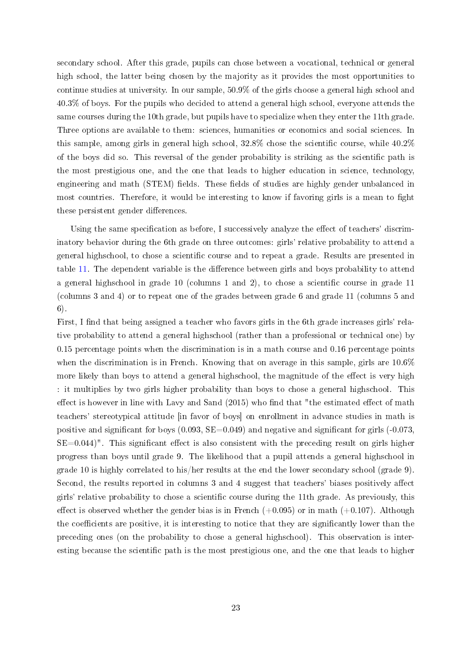secondary school. After this grade, pupils can chose between a vocational, technical or general high school, the latter being chosen by the majority as it provides the most opportunities to continue studies at university. In our sample, 50.9% of the girls choose a general high school and 40.3% of boys. For the pupils who decided to attend a general high school, everyone attends the same courses during the 10th grade, but pupils have to specialize when they enter the 11th grade. Three options are available to them: sciences, humanities or economics and social sciences. In this sample, among girls in general high school,  $32.8\%$  chose the scientific course, while  $40.2\%$ of the boys did so. This reversal of the gender probability is striking as the scientic path is the most prestigious one, and the one that leads to higher education in science, technology, engineering and math (STEM) fields. These fields of studies are highly gender unbalanced in most countries. Therefore, it would be interesting to know if favoring girls is a mean to fight these persistent gender differences.

Using the same specification as before, I su[cce](#page-40-1)ssively analyze the effect of teachers' discriminatory behavior during the 6th grade on three outcomes: girls' relative probability to attend a general highschool, to chose a scientific course and to repeat a grade. Results are presented in table 11. The dependent variable is the difference between girls and boys probability to attend a general highschool in grade 10 (columns 1 and 2), to chose a scientic course in grade 11 (colu[mns](#page-40-1) 3 and 4) or to repeat one of the grades between grade 6 and grade 11 (columns 5 and 6).

First, I find that being assigned a teacher who favors girls in the 6th grade increases girls' relative probability to attend a general highschool (rather than a professional or technical one) by 0.15 percentage points when the discrimination is in a math course and 0.16 percentage points when the discrimination is in French. Knowing that on average in this sample, girls are 10.6% more likely than boys to attend a general highschool, the magnitude of the effect is very high : it multiplies by two girls higher probability than boys to chose a general highschool. This effect is however in line with Lavy and Sand  $(2015)$  who find that "the estimated effect of math teachers' stereotypical attitude [in favor of boys] on enrollment in advance studies in math is positive and significant for boys  $(0.093, SE=0.049)$  and negative and significant for girls  $(-0.073,$  $SE=0.044$ ". This significant effect is also consistent with the preceding result on girls higher progress than boys until grade 9. The likelihood that a pupil attends a general highschool in grade 10 is highly correlated to his/her results at the end the lower secondary school (grade 9). Second, the results reported in columns 3 and 4 suggest that teachers' biases positively affect girls' relative probability to chose a scientic course during the 11th grade. As previously, this effect is observed whether the gender bias is in French  $(+0.095)$  or in math  $(+0.107)$ . Although the coefficients are positive, it is interesting to notice that they are significantly lower than the preceding ones (on the probability to chose a general highschool). This observation is interesting because the scientific path is the most prestigious one, and the one that leads to higher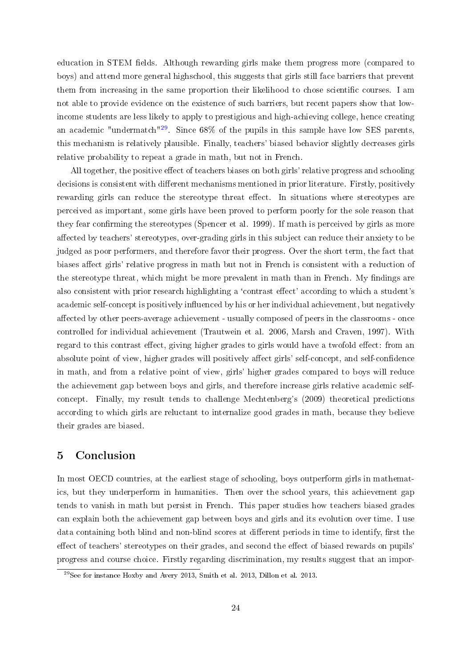education in STEM fields. Although rewarding girls make them progress more (compared to boys) and attend more general highschool, this suggests that girls still face barriers that prevent them from increasing in the same proportion their likelihood to chose scientific courses. I am not able to provide evidence on the existence of such barriers, but recent papers show that lowincome students are less likely to apply to prestigious and high-achieving college, hence creating an academic "undermatch"<sup>[29](#page-25-0)</sup>. Since  $68\%$  of the pupils in this sample have low SES parents, this mechanism is relatively plausible. Finally, teachers' biased behavior slightly decreases girls relative probability to repeat a grade in math, but not in French.

All together, the positive effect of teachers biases on both girls' relative progress and schooling decisions is consistent with different mechanisms mentioned in prior literature. Firstly, positively rewarding girls can reduce the stereotype threat effect. In situations where stereotypes are perceived as important, some girls have been proved to perform poorly for the sole reason that they fear confirming the stereotypes (Spencer et al. 1999). If math is perceived by girls as more affected by teachers' stereotypes, over-grading girls in this subject can reduce their anxiety to be judged as poor performers, and therefore favor their progress. Over the short term, the fact that biases affect girls' relative progress in math but not in French is consistent with a reduction of the stereotype threat, which might be more prevalent in math than in French. My findings are also consistent with prior research highlighting a 'contrast effect' according to which a student's academic self-concept is positively influenced by his or her individual achievement, but negatively affected by other peers-average achievement - usually composed of peers in the classrooms - once controlled for individual achievement (Trautwein et al. 2006, Marsh and Craven, 1997). With regard to this contrast effect, giving higher grades to girls would have a twofold effect: from an absolute point of view, higher grades will positively affect girls' self-concept, and self-confidence in math, and from a relative point of view, girls' higher grades compared to boys will reduce the achievement gap between boys and girls, and therefore increase girls relative academic selfconcept. Finally, my result tends to challenge Mechtenberg's (2009) theoretical predictions according to which girls are reluctant to internalize good grades in math, because they believe their grades are biased.

# 5 Conclusion

In most OECD countries, at the earliest stage of schooling, boys outperform girls in mathematics, but they underperform in humanities. Then over the school years, this achievement gap tends to vanish in math but persist in French. This paper studies how teachers biased grades can explain both the achievement gap between boys and girls and its evolution over time. I use data containing both blind and non-blind scores at different periods in time to identify, first the effect of teachers' stereotypes on their grades, and second the effect of biased rewards on pupils progress and course choice. Firstly regarding discrimination, my results suggest that an impor-

<span id="page-25-0"></span> $^{29}$ See for instance Hoxby and Avery 2013, Smith et al. 2013, Dillon et al. 2013.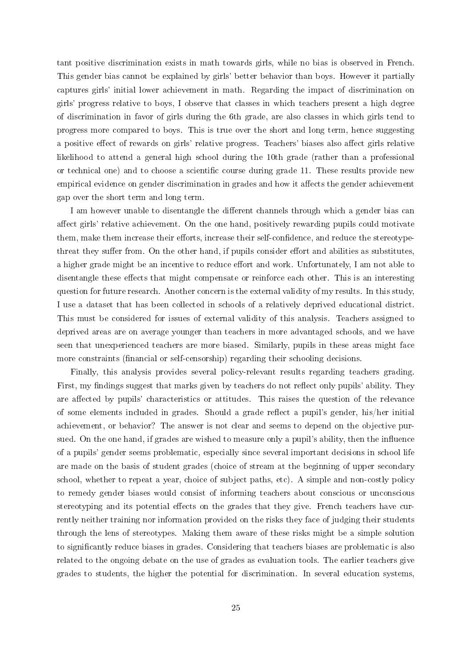tant positive discrimination exists in math towards girls, while no bias is observed in French. This gender bias cannot be explained by girls' better behavior than boys. However it partially captures girls' initial lower achievement in math. Regarding the impact of discrimination on girls' progress relative to boys, I observe that classes in which teachers present a high degree of discrimination in favor of girls during the 6th grade, are also classes in which girls tend to progress more compared to boys. This is true over the short and long term, hence suggesting a positive effect of rewards on girls' relative progress. Teachers' biases also affect girls relative likelihood to attend a general high school during the 10th grade (rather than a professional or technical one) and to choose a scientific course during grade 11. These results provide new empirical evidence on gender discrimination in grades and how it affects the gender achievement gap over the short term and long term.

I am however unable to disentangle the different channels through which a gender bias can affect girls' relative achievement. On the one hand, positively rewarding pupils could motivate them, make them increase their efforts, increase their self-confidence, and reduce the stereotypethreat they suffer from. On the other hand, if pupils consider effort and abilities as substitutes, a higher grade might be an incentive to reduce effort and work. Unfortunately, I am not able to disentangle these effects that might compensate or reinforce each other. This is an interesting question for future research. Another concern is the external validity of my results. In this study, I use a dataset that has been collected in schools of a relatively deprived educational district. This must be considered for issues of external validity of this analysis. Teachers assigned to deprived areas are on average younger than teachers in more advantaged schools, and we have seen that unexperienced teachers are more biased. Similarly, pupils in these areas might face more constraints (financial or self-censorship) regarding their schooling decisions.

Finally, this analysis provides several policy-relevant results regarding teachers grading. First, my findings suggest that marks given by teachers do not reflect only pupils' ability. They are affected by pupils' characteristics or attitudes. This raises the question of the relevance of some elements included in grades. Should a grade reflect a pupil's gender, his/her initial achievement, or behavior? The answer is not clear and seems to depend on the objective pursued. On the one hand, if grades are wished to measure only a pupil's ability, then the influence of a pupils' gender seems problematic, especially since several important decisions in school life are made on the basis of student grades (choice of stream at the beginning of upper secondary school, whether to repeat a year, choice of subject paths, etc). A simple and non-costly policy to remedy gender biases would consist of informing teachers about conscious or unconscious stereotyping and its potential effects on the grades that they give. French teachers have currently neither training nor information provided on the risks they face of judging their students through the lens of stereotypes. Making them aware of these risks might be a simple solution to signicantly reduce biases in grades. Considering that teachers biases are problematic is also related to the ongoing debate on the use of grades as evaluation tools. The earlier teachers give grades to students, the higher the potential for discrimination. In several education systems,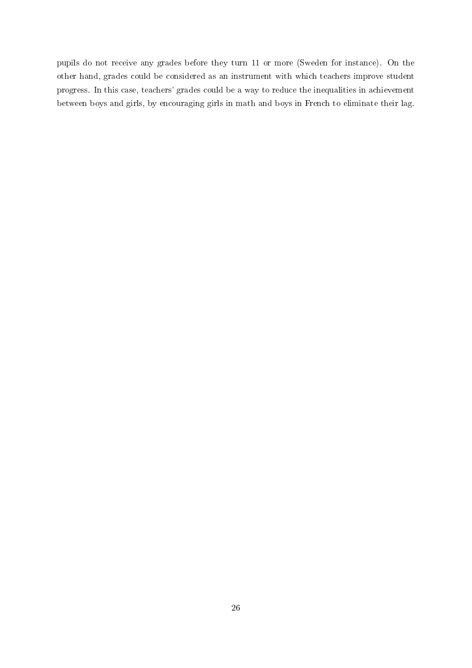pupils do not receive any grades before they turn 11 or more (Sweden for instance). On the other hand, grades could be considered as an instrument with which teachers improve student progress. In this case, teachers' grades could be a way to reduce the inequalities in achievement between boys and girls, by encouraging girls in math and boys in French to eliminate their lag.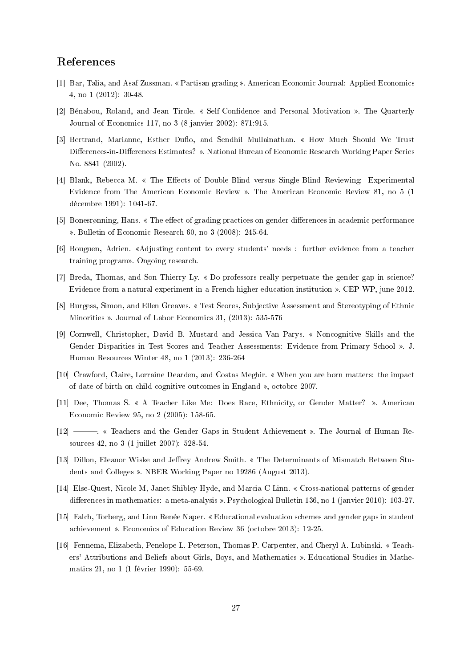# References

- [1] Bar, Talia, and Asaf Zussman. « Partisan grading ». American Economic Journal: Applied Economics 4, no 1 (2012): 30-48.
- [2] Bénabou, Roland, and Jean Tirole. « Self-Confidence and Personal Motivation ». The Quarterly Journal of Economics 117, no 3 (8 janvier 2002): 871:915.
- [3] Bertrand, Marianne, Esther Duflo, and Sendhil Mullainathan. « How Much Should We Trust Differences-in-Differences Estimates? ». National Bureau of Economic Research Working Paper Series No. 8841 (2002).
- [4] Blank, Rebecca M. « The Effects of Double-Blind versus Single-Blind Reviewing: Experimental Evidence from The American Economic Review . The American Economic Review 81, no 5 (1 décembre 1991): 1041-67.
- [5] Bonesrønning, Hans. « The effect of grading practices on gender differences in academic performance . Bulletin of Economic Research 60, no 3 (2008): 245-64.
- [6] Bouguen, Adrien. Adjusting content to every students' needs : further evidence from a teacher training program». Ongoing research.
- [7] Breda, Thomas, and Son Thierry Ly. Do professors really perpetuate the gender gap in science? Evidence from a natural experiment in a French higher education institution ». CEP WP, june 2012.
- [8] Burgess, Simon, and Ellen Greaves. Test Scores, Subjective Assessment and Stereotyping of Ethnic Minorities ». Journal of Labor Economics 31, (2013): 535-576
- [9] Cornwell, Christopher, David B. Mustard and Jessica Van Parys. Noncognitive Skills and the Gender Disparities in Test Scores and Teacher Assessments: Evidence from Primary School ». J. Human Resources Winter 48, no 1 (2013): 236-264
- [10] Crawford, Claire, Lorraine Dearden, and Costas Meghir. When you are born matters: the impact of date of birth on child cognitive outcomes in England », octobre 2007.
- [11] Dee, Thomas S. « A Teacher Like Me: Does Race, Ethnicity, or Gender Matter? ». American Economic Review 95, no 2 (2005): 158-65.
- [12]  $\longrightarrow$  « Teachers and the Gender Gaps in Student Achievement ». The Journal of Human Resources 42, no 3 (1 juillet 2007): 528-54.
- [13] Dillon, Eleanor Wiske and Jeffrey Andrew Smith. « The Determinants of Mismatch Between Students and Colleges ». NBER Working Paper no 19286 (August 2013).
- [14] Else-Quest, Nicole M, Janet Shibley Hyde, and Marcia C Linn. Cross-national patterns of gender differences in mathematics: a meta-analysis ». Psychological Bulletin 136, no 1 (janvier 2010): 103-27.
- [15] Falch, Torberg, and Linn Renée Naper. Educational evaluation schemes and gender gaps in student achievement ». Economics of Education Review 36 (octobre 2013): 12-25.
- [16] Fennema, Elizabeth, Penelope L. Peterson, Thomas P. Carpenter, and Cheryl A. Lubinski. « Teachers' Attributions and Beliefs about Girls, Boys, and Mathematics . Educational Studies in Mathematics 21, no 1 (1 février 1990): 55-69.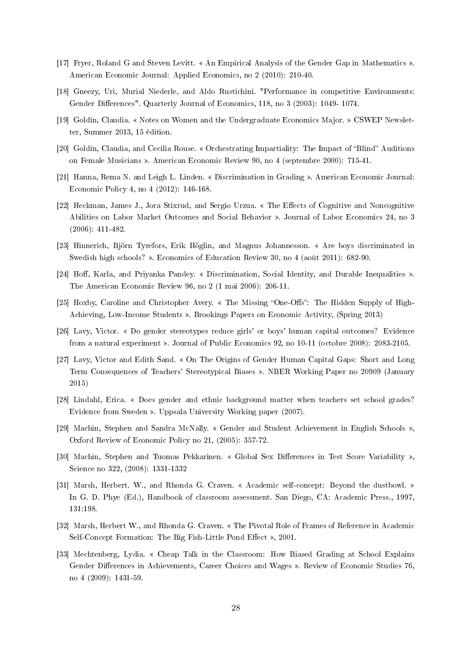- [17] Fryer, Roland G and Steven Levitt. An Empirical Analysis of the Gender Gap in Mathematics . American Economic Journal: Applied Economics, no 2 (2010): 210-40.
- [18] Gneezy, Uri, Murial Niederle, and Aldo Rustichini. "Performance in competitive Environments: Gender Differences". Quarterly Journal of Economics, 118, no 3 (2003): 1049-1074.
- [19] Goldin, Claudia. « Notes on Women and the Undergraduate Economics Major. » CSWEP Newsletter, Summer 2013, 15 édition.
- [20] Goldin, Claudia, and Cecilia Rouse. « Orchestrating Impartiality: The Impact of "Blind" Auditions on Female Musicians . American Economic Review 90, no 4 (septembre 2000): 715-41.
- [21] Hanna, Rema N. and Leigh L. Linden. « Discrimination in Grading ». American Economic Journal: Economic Policy 4, no 4 (2012): 146-168.
- [22] Heckman, James J., Jora Stixrud, and Sergio Urzua. « The Effects of Cognitive and Noncognitive Abilities on Labor Market Outcomes and Social Behavior . Journal of Labor Economics 24, no 3 (2006): 411-482.
- [23] Hinnerich, Björn Tyrefors, Erik Höglin, and Magnus Johannesson. Are boys discriminated in Swedish high schools? ». Economics of Education Review 30, no 4 (août 2011): 682-90.
- [24] Hoff, Karla, and Privanka Pandey. « Discrimination, Social Identity, and Durable Inequalities » The American Economic Review 96, no 2 (1 mai 2006): 206-11.
- [25] Hoxby, Caroline and Christopher Avery. « The Missing "One-Offs": The Hidden Supply of High-Achieving, Low-Income Students ». Brookings Papers on Economic Activity, (Spring 2013)
- [26] Lavy, Victor. Do gender stereotypes reduce girls' or boys' human capital outcomes? Evidence from a natural experiment ». Journal of Public Economics 92, no 10-11 (octobre 2008): 2083-2105.
- [27] Lavy, Victor and Edith Sand. « On The Origins of Gender Human Capital Gaps: Short and Long Term Consequences of Teachers' Stereotypical Biases ». NBER Working Paper no 20909 (January 2015)
- [28] Lindahl, Erica. Does gender and ethnic background matter when teachers set school grades? Evidence from Sweden ». Uppsala University Working paper (2007).
- [29] Machin, Stephen and Sandra McNally. « Gender and Student Achievement in English Schools », Oxford Review of Economic Policy no 21, (2005): 357-72.
- [30] Machin, Stephen and Tuomas Pekkarinen. « Global Sex Differences in Test Score Variability » Science no 322, (2008): 1331-1332
- [31] Marsh, Herbert. W., and Rhonda G. Craven. « Academic self-concept: Beyond the dustbowl. » In G. D. Phye (Ed.), Handbook of classroom assessment. San Diego, CA: Academic Press., 1997, 131:198.
- [32] Marsh, Herbert W., and Rhonda G. Craven. « The Pivotal Role of Frames of Reference in Academic Self-Concept Formation: The Big Fish-Little Pond Effect », 2001.
- [33] Mechtenberg, Lydia. Cheap Talk in the Classroom: How Biased Grading at School Explains Gender Differences in Achievements, Career Choices and Wages ». Review of Economic Studies 76, no 4 (2009): 1431-59.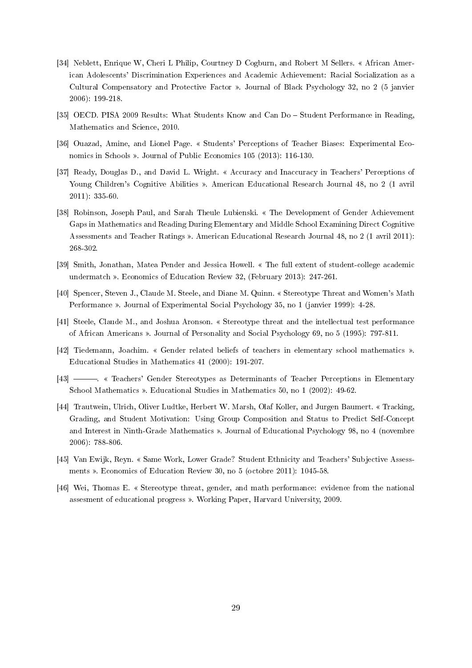- [34] Neblett, Enrique W, Cheri L Philip, Courtney D Cogburn, and Robert M Sellers. « African American Adolescents' Discrimination Experiences and Academic Achievement: Racial Socialization as a Cultural Compensatory and Protective Factor . Journal of Black Psychology 32, no 2 (5 janvier 2006): 199-218.
- [35] OECD. PISA 2009 Results: What Students Know and Can Do Student Performance in Reading, Mathematics and Science, 2010.
- [36] Ouazad, Amine, and Lionel Page. Students' Perceptions of Teacher Biases: Experimental Economics in Schools ». Journal of Public Economics 105 (2013): 116-130.
- [37] Ready, Douglas D., and David L. Wright. Accuracy and Inaccuracy in Teachers' Perceptions of Young Children's Cognitive Abilities ». American Educational Research Journal 48, no 2 (1 avril 2011): 335-60.
- [38] Robinson, Joseph Paul, and Sarah Theule Lubienski. « The Development of Gender Achievement Gaps in Mathematics and Reading During Elementary and Middle School Examining Direct Cognitive Assessments and Teacher Ratings . American Educational Research Journal 48, no 2 (1 avril 2011): 268-302.
- [39] Smith, Jonathan, Matea Pender and Jessica Howell. The full extent of student-college academic undermatch ». Economics of Education Review 32, (February 2013): 247-261.
- [40] Spencer, Steven J., Claude M. Steele, and Diane M. Quinn. « Stereotype Threat and Women's Math Performance ». Journal of Experimental Social Psychology 35, no 1 (janvier 1999): 4-28.
- [41] Steele, Claude M., and Joshua Aronson. « Stereotype threat and the intellectual test performance of African Americans . Journal of Personality and Social Psychology 69, no 5 (1995): 797-811.
- [42] Tiedemann, Joachim. « Gender related beliefs of teachers in elementary school mathematics ». Educational Studies in Mathematics 41 (2000): 191-207.
- [43]  $\longrightarrow$  « Teachers' Gender Stereotypes as Determinants of Teacher Perceptions in Elementary School Mathematics ». Educational Studies in Mathematics 50, no 1 (2002): 49-62.
- [44] Trautwein, Ulrich, Oliver Ludtke, Herbert W. Marsh, Olaf Koller, and Jurgen Baumert. « Tracking Grading, and Student Motivation: Using Group Composition and Status to Predict Self-Concept and Interest in Ninth-Grade Mathematics ». Journal of Educational Psychology 98, no 4 (novembre 2006): 788-806.
- [45] Van Ewijk, Reyn. « Same Work, Lower Grade? Student Ethnicity and Teachers' Subjective Assessments ». Economics of Education Review 30, no 5 (octobre 2011): 1045-58.
- [46] Wei, Thomas E. « Stereotype threat, gender, and math performance: evidence from the national assesment of educational progress ». Working Paper, Harvard University, 2009.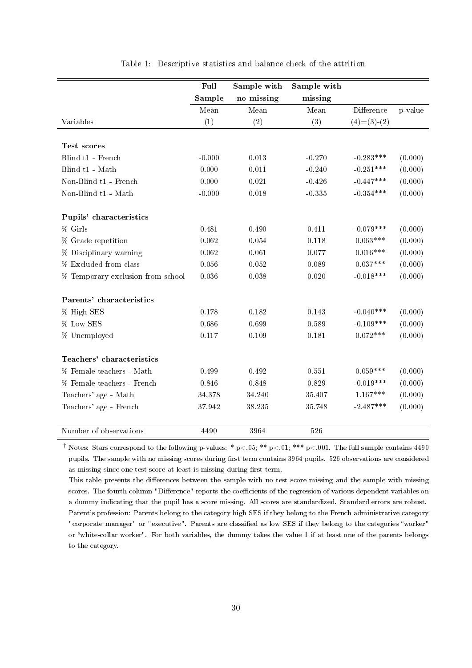<span id="page-31-0"></span>

|                                   | Full     | Sample with | Sample with |                                |         |
|-----------------------------------|----------|-------------|-------------|--------------------------------|---------|
|                                   | Sample   | no missing  | missing     |                                |         |
|                                   | Mean     | Mean        | Mean        | $\mathop{\mathrm{Difference}}$ | p-value |
| Variables                         | (1)      | (2)         | (3)         | $(4)=(3)-(2)$                  |         |
|                                   |          |             |             |                                |         |
| Test scores                       |          |             |             |                                |         |
| Blind t1 - French                 | $-0.000$ | 0.013       | $-0.270$    | $-0.283***$                    | (0.000) |
| Blind t1 - Math                   | 0.000    | 0.011       | $-0.240$    | $-0.251***$                    | (0.000) |
| Non-Blind t1 - French             | 0.000    | 0.021       | $-0.426$    | $-0.447***$                    | (0.000) |
| Non-Blind t1 - Math               | $-0.000$ | 0.018       | $-0.335$    | $-0.354***$                    | (0.000) |
|                                   |          |             |             |                                |         |
| Pupils' characteristics           |          |             |             |                                |         |
| % Girls                           | 0.481    | 0.490       | 0.411       | $-0.079***$                    | (0.000) |
| % Grade repetition                | 0.062    | 0.054       | 0.118       | $0.063***$                     | (0.000) |
| % Disciplinary warning            | 0.062    | 0.061       | 0.077       | $0.016***$                     | (0.000) |
| % Excluded from class             | 0.056    | 0.052       | 0.089       | $0.037***$                     | (0.000) |
| % Temporary exclusion from school | 0.036    | 0.038       | 0.020       | $-0.018***$                    | (0.000) |
|                                   |          |             |             |                                |         |
| Parents' characteristics          |          |             |             |                                |         |
| % High SES                        | 0.178    | 0.182       | 0.143       | $-0.040***$                    | (0.000) |
| % Low SES                         | 0.686    | 0.699       | 0.589       | $-0.109***$                    | (0.000) |
| % Unemployed                      | 0.117    | 0.109       | 0.181       | $0.072***$                     | (0.000) |
|                                   |          |             |             |                                |         |
| Teachers' characteristics         |          |             |             |                                |         |
| % Female teachers - Math          | 0.499    | 0.492       | 0.551       | $0.059***$                     | (0.000) |
| % Female teachers - French        | 0.846    | 0.848       | 0.829       | $-0.019***$                    | (0.000) |
| Teachers' age - Math              | 34.378   | 34.240      | 35.407      | $1.167***$                     | (0.000) |
| Teachers' age - French            | 37.942   | 38.235      | 35.748      | $-2.487***$                    | (0.000) |
|                                   |          |             |             |                                |         |
| Number of observations            | 4490     | 3964        | 526         |                                |         |

Table 1: Descriptive statistics and balance check of the attrition

<sup>†</sup> Notes: Stars correspond to the following p-values: \* p<.05; \*\* p<.01; \*\*\* p<.001. The full sample contains 4490 pupils. The sample with no missing scores during first term contains 3964 pupils. 526 observations are considered as missing since one test score at least is missing during first term.

This table presents the differences between the sample with no test score missing and the sample with missing scores. The fourth column "Difference" reports the coefficients of the regression of various dependent variables on a dummy indicating that the pupil has a score missing. All scores are standardized. Standard errors are robust. Parent's profession: Parents belong to the category high SES if they belong to the French administrative category "corporate manager" or "executive". Parents are classified as low SES if they belong to the categories "worker" or white-collar worker". For both variables, the dummy takes the value 1 if at least one of the parents belongs to the category.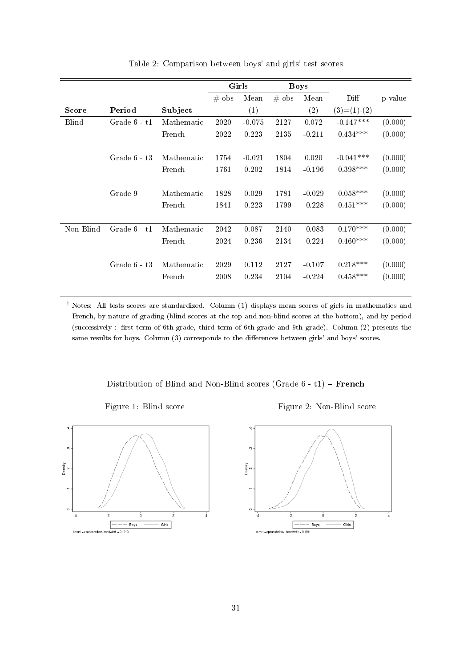<span id="page-32-0"></span>

|              |                |            | Girls   |          | <b>Boys</b> |          |                |         |
|--------------|----------------|------------|---------|----------|-------------|----------|----------------|---------|
|              |                |            | $#$ obs | Mean     | $#$ obs     | Mean     | Diff           | p-value |
| <b>Score</b> | Period         | Subject    |         | (1)      |             | (2)      | $(3)= (1)-(2)$ |         |
| <b>Blind</b> | Grade 6 - t1   | Mathematic | 2020    | $-0.075$ | 2127        | 0.072    | $-0.147***$    | (0.000) |
|              |                | French     | 2022    | 0.223    | 2135        | $-0.211$ | $0.434***$     | (0.000) |
|              |                |            |         |          |             |          |                |         |
|              | Grade $6 - t3$ | Mathematic | 1754    | $-0.021$ | 1804        | 0.020    | $-0.041***$    | (0.000) |
|              |                | French     | 1761    | 0.202    | 1814        | $-0.196$ | $0.398***$     | (0.000) |
|              |                |            |         |          |             |          |                |         |
|              | Grade 9        | Mathematic | 1828    | 0.029    | 1781        | $-0.029$ | $0.058***$     | (0.000) |
|              |                | French     | 1841    | 0.223    | 1799        | $-0.228$ | $0.451***$     | (0.000) |
|              |                |            |         |          |             |          |                |         |
| Non-Blind    | Grade $6 - t1$ | Mathematic | 2042    | 0.087    | 2140        | $-0.083$ | $0.170***$     | (0.000) |
|              |                | French     | 2024    | 0.236    | 2134        | $-0.224$ | $0.460***$     | (0.000) |
|              |                |            |         |          |             |          |                |         |
|              | Grade $6 - t3$ | Mathematic | 2029    | 0.112    | 2127        | $-0.107$ | $0.218***$     | (0.000) |
|              |                | French     | 2008    | 0.234    | 2104        | $-0.224$ | $0.458***$     | (0.000) |
|              |                |            |         |          |             |          |                |         |

Table 2: Comparison between boys' and girls' test scores

† Notes: All tests scores are standardized. Column (1) displays mean scores of girls in mathematics and French, by nature of grading (blind scores at the top and non-blind scores at the bottom), and by period (successively : first term of 6th grade, third term of 6th grade and 9th grade). Column (2) presents the same results for boys. Column (3) corresponds to the differences between girls' and boys' scores.

Distribution of Blind and Non-Blind scores (Grade  $6 - t1$ ) – **French** 

Figure 1: Blind score Figure 2: Non-Blind score

<span id="page-32-1"></span>

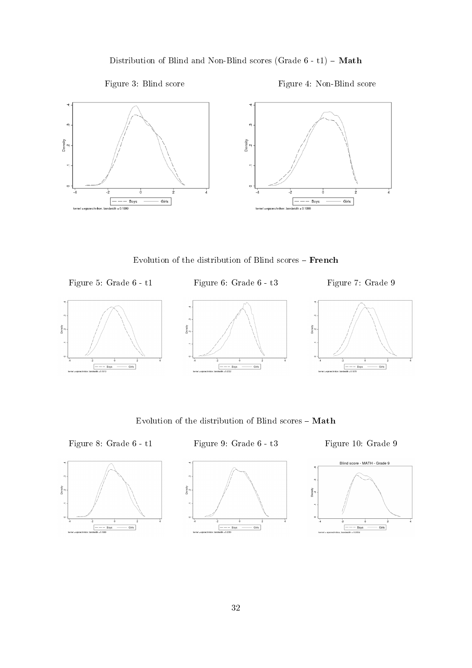Distribution of Blind and Non-Blind scores (Grade  $6 - t1$ ) - Math



<span id="page-33-0"></span>

Evolution of the distribution of Blind scores French

<span id="page-33-1"></span>Figure 5: Grade 6 - t1 Figure 6: Grade 6 - t3 Figure 7: Grade 9









Evolution of the distribution of Blind scores –  $\mathbf{Math}$ 

 $\Box$ 

Density

<span id="page-33-2"></span>Figure 8: Grade 6 - t1 Figure 9: Grade 6 - t3 Figure 10: Grade 9





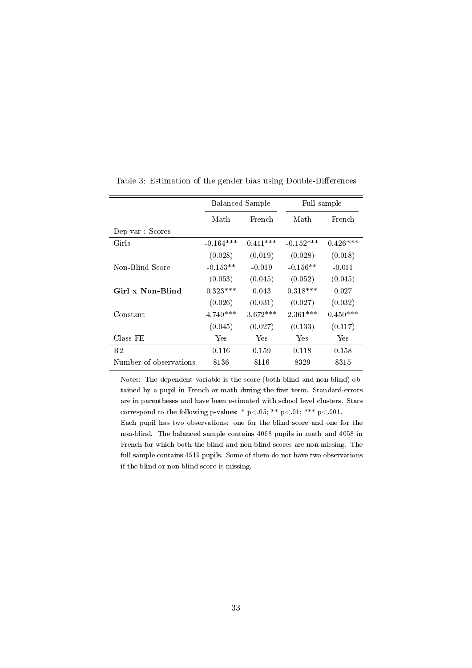<span id="page-34-0"></span>

|                        | <b>Balanced Sample</b> |                | Full sample |            |
|------------------------|------------------------|----------------|-------------|------------|
|                        | Math                   | French<br>Math |             | French     |
| Dep var : Scores       |                        |                |             |            |
| Girls                  | $-0.164***$            | $0.411***$     | $-0.152***$ | $0.426***$ |
|                        | (0.028)                | (0.019)        | (0.028)     | (0.018)    |
| Non-Blind Score        | $-0.153**$             | $-0.019$       | $-0.156**$  | $-0.011$   |
|                        | (0.053)                | (0.045)        | (0.052)     | (0.045)    |
| Girl x Non-Blind       | $0.323***$             | 0.043          | $0.318***$  | 0.027      |
|                        | (0.026)                | (0.031)        | (0.027)     | (0.032)    |
| Constant               | $4.740***$             | $3.672***$     | $2.361***$  | $0.450***$ |
|                        | (0.045)                | (0.027)        | (0.133)     | (0.117)    |
| Class FE               | Yes                    | Yes            | Yes         | Yes        |
| R2                     | 0.116                  | 0.159          | 0.118       | 0.158      |
| Number of observations | 8136                   | 8116           | 8329        | 8315       |

Table 3: Estimation of the gender bias using Double-Differences

Notes: The dependent variable is the score (both blind and non-blind) obtained by a pupil in French or math during the first term. Standard-errors are in parentheses and have been estimated with school level clusters. Stars correspond to the following p-values: \* p<.05; \*\* p<.01; \*\*\* p<.001.

Each pupil has two observations: one for the blind score and one for the non-blind. The balanced sample contains 4068 pupils in math and 4058 in French for which both the blind and non-blind scores are non-missing. The full sample contains 4519 pupils. Some of them do not have two observations if the blind or non-blind score is missing.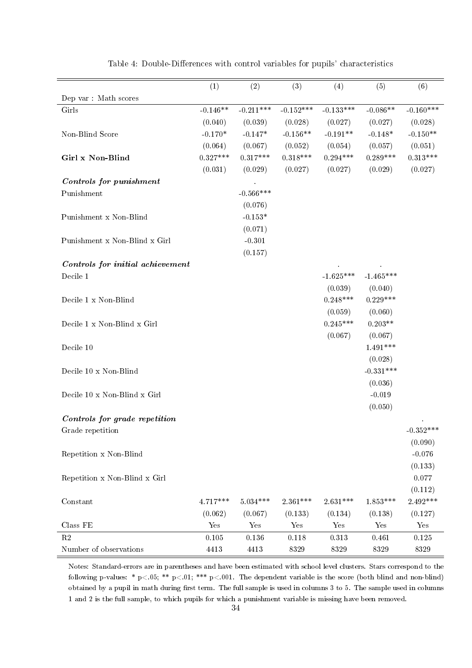<span id="page-35-0"></span>

|                                  | (1)        | (2)                   | (3)         | (4)                   | (5)                   | (6)                   |
|----------------------------------|------------|-----------------------|-------------|-----------------------|-----------------------|-----------------------|
| Dep var: Math scores             |            |                       |             |                       |                       |                       |
| Girls                            | $-0.146**$ | $-0.211***$           | $-0.152***$ | $-0.133***$           | $-0.086**$            | $-0.160***$           |
|                                  | (0.040)    | (0.039)               | (0.028)     | (0.027)               | (0.027)               | (0.028)               |
| Non-Blind Score                  | $-0.170*$  | $-0.147*$             | $-0.156**$  | $-0.191**$            | $-0.148*$             | $-0.150**$            |
|                                  | (0.064)    |                       | (0.052)     |                       |                       |                       |
| Girl x Non-Blind                 | $0.327***$ | (0.067)<br>$0.317***$ | $0.318***$  | (0.054)<br>$0.294***$ | (0.057)<br>$0.289***$ | (0.051)<br>$0.313***$ |
|                                  | (0.031)    | (0.029)               | (0.027)     | (0.027)               | (0.029)               | (0.027)               |
|                                  |            |                       |             |                       |                       |                       |
| Controls for punishment          |            | $-0.566***$           |             |                       |                       |                       |
| Punishment                       |            |                       |             |                       |                       |                       |
|                                  |            | (0.076)               |             |                       |                       |                       |
| Punishment x Non-Blind           |            | $-0.153*$             |             |                       |                       |                       |
|                                  |            | (0.071)               |             |                       |                       |                       |
| Punishment x Non-Blind x Girl    |            | $-0.301$              |             |                       |                       |                       |
|                                  |            | (0.157)               |             |                       |                       |                       |
| Controls for initial achievement |            |                       |             |                       |                       |                       |
| Decile 1                         |            |                       |             | $-1.625***$           | $-1.465***$           |                       |
|                                  |            |                       |             | (0.039)               | (0.040)               |                       |
| Decile 1 x Non-Blind             |            |                       |             | $0.248***$            | $0.229***$            |                       |
|                                  |            |                       |             | (0.059)               | (0.060)               |                       |
| Decile 1 x Non-Blind x Girl      |            |                       |             | $0.245***$            | $0.203**$             |                       |
|                                  |            |                       |             | (0.067)               | (0.067)               |                       |
| Decile 10                        |            |                       |             |                       | $1.491***$            |                       |
|                                  |            |                       |             |                       | (0.028)               |                       |
| Decile 10 x Non-Blind            |            |                       |             |                       | $-0.331***$           |                       |
|                                  |            |                       |             |                       | (0.036)               |                       |
| Decile 10 x Non-Blind x Girl     |            |                       |             |                       | $-0.019$              |                       |
|                                  |            |                       |             |                       | (0.050)               |                       |
| Controls for grade repetition    |            |                       |             |                       |                       |                       |
| Grade repetition                 |            |                       |             |                       |                       | $-0.352***$           |
|                                  |            |                       |             |                       |                       | (0.090)               |
| Repetition x Non-Blind           |            |                       |             |                       |                       | $-0.076$              |
|                                  |            |                       |             |                       |                       | (0.133)               |
| Repetition x Non-Blind x Girl    |            |                       |             |                       |                       | 0.077                 |
|                                  |            |                       |             |                       |                       | (0.112)               |
| Constant                         | $4.717***$ | $5.034***$            | $2.361***$  | $2.631***$            | $1.853***$            | 2.492***              |
|                                  | (0.062)    | (0.067)               | (0.133)     | (0.134)               | (0.138)               | (0.127)               |
| Class FE                         | Yes        | Yes                   | Yes         | Yes                   | Yes                   | Yes                   |
| $\mathbf{R}2$                    | $0.105\,$  | $0.136\,$             | $0.118\,$   | $0.313\,$             | 0.461                 | 0.125                 |
| Number of observations           | 4413       | 4413                  | $8329\,$    | $8329\,$              | $8329\,$              | 8329                  |

Table 4: Double-Differences with control variables for pupils' characteristics

Notes: Standard-errors are in parentheses and have been estimated with school level clusters. Stars correspond to the following p-values: \*  $p<.05$ ; \*\*  $p<.01$ ; \*\*\*  $p<.001$ . The dependent variable is the score (both blind and non-blind) obtained by a pupil in math during first term. The full sample is used in columns 3 to 5. The sample used in columns 1 and 2 is the full sample, to which pupils for which a punishment variable is missing have been removed.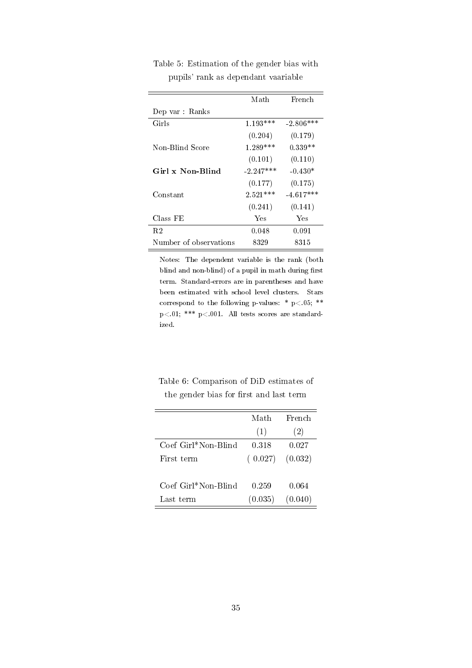|                        | Math        | French      |
|------------------------|-------------|-------------|
| Dep var : Ranks        |             |             |
| Girls                  | $1.193***$  | $-2.806***$ |
|                        | (0.204)     | (0.179)     |
| Non-Blind Score        | $1.289***$  | $0.339**$   |
|                        | (0.101)     | (0.110)     |
| Girl x Non-Blind       | $-2.247***$ | $-0.430*$   |
|                        | (0.177)     | (0.175)     |
| Constant               | $2.521***$  | $-4.617***$ |
|                        | (0.241)     | (0.141)     |
| Class FE               | Yes         | Yes         |
| R2                     | 0.048       | 0.091       |
| Number of observations | 8329        | 8315        |

<span id="page-36-0"></span>Table 5: Estimation of the gender bias with pupils' rank as dependant vaariable

 $\overline{\phantom{0}}$ 

÷

Notes: The dependent variable is the rank (both blind and non-blind) of a pupil in math during first term. Standard-errors are in parentheses and have been estimated with school level clusters. Stars correspond to the following p-values: \*  $p<0.05$ ; \*\* p<.01; \*\*\* p<.001. All tests scores are standardized.

<span id="page-36-1"></span>

| Table 6: Comparison of DiD estimates of |  |  |  |                                         |  |
|-----------------------------------------|--|--|--|-----------------------------------------|--|
|                                         |  |  |  | the gender bias for first and last term |  |

|                     | Math    | French  |
|---------------------|---------|---------|
|                     | (1)     | (2)     |
| Coef Girl*Non-Blind | 0.318   | 0.027   |
| First term          | (0.027) | (0.032) |
|                     |         |         |
| Coef Girl*Non-Blind | 0.259   | 0.064   |
| Last term           | (0.035) | (0.040) |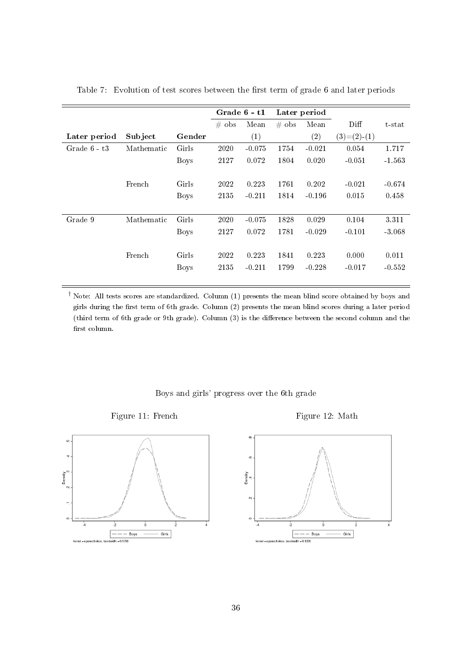|                |            |             | Grade 6 - t1 |          |          | Later period |               |          |
|----------------|------------|-------------|--------------|----------|----------|--------------|---------------|----------|
|                |            |             | $#$ obs      | Mean     | $\#$ obs | Mean         | Diff          | t-stat   |
| Later period   | Subject    | Gender      |              | (1)      |          | (2)          | $(3)=(2)-(1)$ |          |
| Grade $6 - t3$ | Mathematic | Girls       | 2020         | $-0.075$ | 1754     | $-0.021$     | 0.054         | 1.717    |
|                |            | Boys        | 2127         | 0.072    | 1804     | 0.020        | $-0.051$      | $-1.563$ |
|                |            |             |              |          |          |              |               |          |
|                | French     | Girls       | 2022         | 0.223    | 1761     | 0.202        | $-0.021$      | $-0.674$ |
|                |            | Boys        | 2135         | $-0.211$ | 1814     | $-0.196$     | 0.015         | 0.458    |
|                |            |             |              |          |          |              |               |          |
| Grade 9        | Mathematic | Girls       | 2020         | $-0.075$ | 1828     | 0.029        | 0.104         | 3.311    |
|                |            | <b>Boys</b> | 2127         | 0.072    | 1781     | $-0.029$     | $-0.101$      | $-3.068$ |
|                |            |             |              |          |          |              |               |          |
|                | French     | Girls       | 2022         | 0.223    | 1841     | 0.223        | 0.000         | 0.011    |
|                |            | <b>Boys</b> | 2135         | $-0.211$ | 1799     | $-0.228$     | $-0.017$      | $-0.552$ |
|                |            |             |              |          |          |              |               |          |

<span id="page-37-1"></span>Table 7: Evolution of test scores between the first term of grade 6 and later periods

† Note: All tests scores are standardized. Column (1) presents the mean blind score obtained by boys and girls during the first term of 6th grade. Column (2) presents the mean blind scores during a later period (third term of 6th grade or 9th grade). Column (3) is the difference between the second column and the first column.

<span id="page-37-0"></span>

Boys and girls' progress over the 6th grade

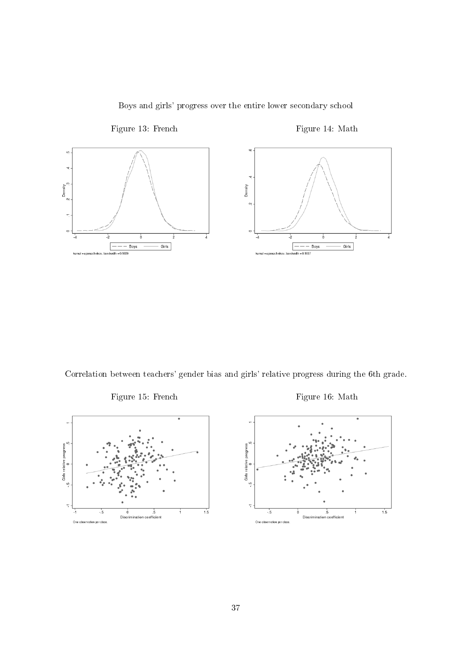<span id="page-38-0"></span>

Boys and girls' progress over the entire lower secondary school

<span id="page-38-1"></span>Correlation between teachers' gender bias and girls' relative progress during the 6th grade.





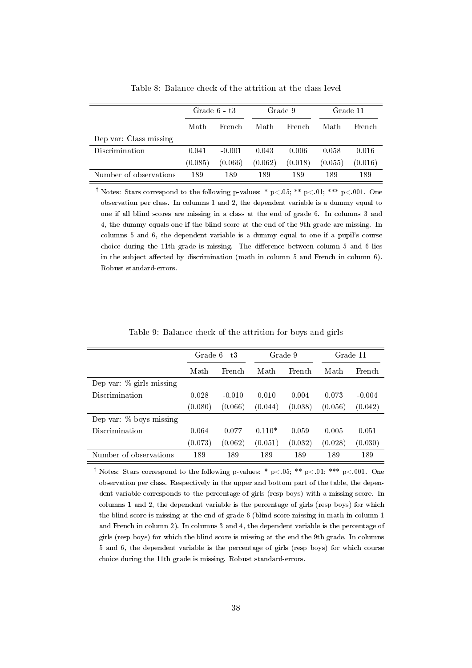<span id="page-39-0"></span>

|                        | Grade $6 - t3$ |          | Grade 9 |         | Grade 11 |         |
|------------------------|----------------|----------|---------|---------|----------|---------|
|                        | Math           | French   | Math    | French  | Math     | French  |
| Dep var: Class missing |                |          |         |         |          |         |
| Discrimination         | 0.041          | $-0.001$ | 0.043   | 0.006   | 0.058    | 0.016   |
|                        | (0.085)        | (0.066)  | (0.062) | (0.018) | (0.055)  | (0.016) |
| Number of observations | 189            | 189      | 189     | 189     | 189      | 189     |

Table 8: Balance check of the attrition at the class level

<sup>†</sup> Notes: Stars correspond to the following p-values: \* p<.05; \*\* p<.01; \*\*\* p<.001. One observation per class. In columns 1 and 2, the dependent variable is a dummy equal to one if all blind scores are missing in a class at the end of grade 6. In columns 3 and 4, the dummy equals one if the blind score at the end of the 9th grade are missing. In columns 5 and 6, the dependent variable is a dummy equal to one if a pupil's course choice during the 11th grade is missing. The difference between column 5 and 6 lies in the subject affected by discrimination (math in column 5 and French in column 6). Robust standard-errors.

<span id="page-39-1"></span>

|                             | Grade $6 - t3$<br>Math<br>French |          |          | Grade 9 | Grade 11 |          |
|-----------------------------|----------------------------------|----------|----------|---------|----------|----------|
|                             |                                  |          | Math     | French  | Math     | French   |
| Dep var: $\%$ girls missing |                                  |          |          |         |          |          |
| Discrimination              | 0.028                            | $-0.010$ | 0.010    | 0.004   | 0.073    | $-0.004$ |
|                             | (0.080)                          | (0.066)  | (0.044)  | (0.038) | (0.056)  | (0.042)  |
| Dep var: $%$ boys missing   |                                  |          |          |         |          |          |
| Discrimination              | 0.064                            | 0.077    | $0.110*$ | 0.059   | 0.005    | 0.051    |
|                             | (0.073)                          | (0.062)  | (0.051)  | (0.032) | (0.028)  | (0.030)  |
| Number of observations      | 189                              | 189      | 189      | 189     | 189      | 189      |

Table 9: Balance check of the attrition for boys and girls

<sup>†</sup> Notes: Stars correspond to the following p-values: \* p<.05; \*\* p<.01; \*\*\* p<.001. One observation per class. Respectively in the upper and bottom part of the table, the dependent variable corresponds to the percentage of girls (resp boys) with a missing score. In columns 1 and 2, the dependent variable is the percentage of girls (resp boys) for which the blind score is missing at the end of grade 6 (blind score missing in math in column 1 and French in column 2). In columns 3 and 4, the dependent variable is the percentage of girls (resp boys) for which the blind score is missing at the end the 9th grade. In columns 5 and 6, the dependent variable is the percentage of girls (resp boys) for which course choice during the 11th grade is missing. Robust standard-errors.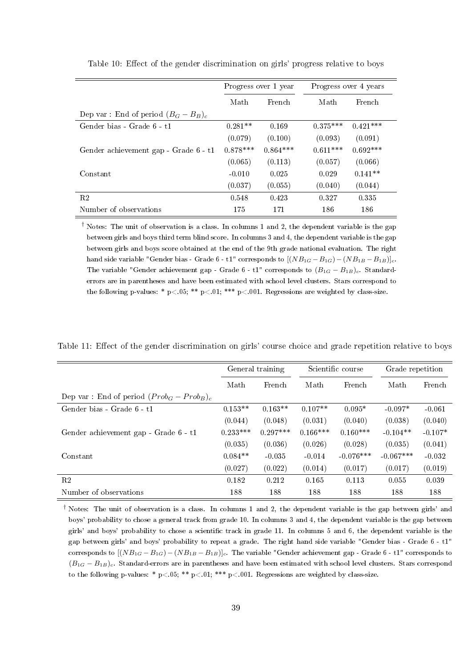|                                        |                        | Progress over 1 year | Progress over 4 years |            |  |
|----------------------------------------|------------------------|----------------------|-----------------------|------------|--|
|                                        | French<br>Math<br>Math |                      | French                |            |  |
| Dep var: End of period $(B_G - B_B)_c$ |                        |                      |                       |            |  |
| Gender bias - Grade 6 - t1             | $0.281**$              | 0.169                | $0.375***$            | $0.421***$ |  |
|                                        | (0.079)                | (0.100)              | (0.093)               | (0.091)    |  |
| Gender achievement gap - Grade 6 - t1  | $0.878***$             | $0.864***$           | $0.611***$            | $0.692***$ |  |
|                                        | (0.065)                | (0.113)              | (0.057)               | (0.066)    |  |
| Constant                               | $-0.010$               | 0.025                | 0.029                 | $0.141**$  |  |
|                                        | (0.037)                | (0.055)              | (0.040)               | (0.044)    |  |
| R <sub>2</sub>                         | 0.548                  | 0.423                | 0.327                 | 0.335      |  |
| Number of observations                 | 175                    | 171                  | 186                   | 186        |  |

<span id="page-40-0"></span>Table 10: Effect of the gender discrimination on girls' progress relative to boys

† Notes: The unit of observation is a class. In columns 1 and 2, the dependent variable is the gap between girls and boys third term blind score. In columns 3 and 4, the dependent variable is the gap between girls and boys score obtained at the end of the 9th grade national evaluation. The right hand side variable "Gender bias - Grade 6 - t1" corresponds to  $[(NB_{1G} - B_{1G}) - (NB_{1B} - B_{1B})]_c$ . The variable "Gender achievement gap - Grade 6 - t1" corresponds to  $(B_{1G} - B_{1B})_c$ . Standarderrors are in parentheses and have been estimated with school level clusters. Stars correspond to the following p-values: \* p<.05; \*\* p<.01; \*\*\* p<.001. Regressions are weighted by class-size.

<span id="page-40-1"></span>Table 11: Effect of the gender discrimination on girls' course choice and grade repetition relative to boys

|                                              | General training |            |            | Scientific course |             | Grade repetition |  |
|----------------------------------------------|------------------|------------|------------|-------------------|-------------|------------------|--|
|                                              | Math             | French     | Math       | French            | Math        | French           |  |
| Dep var: End of period $(Prob_G - Prob_B)_c$ |                  |            |            |                   |             |                  |  |
| Gender bias - Grade 6 - t1                   | $0.153**$        | $0.163**$  | $0.107**$  | $0.095*$          | $-0.097*$   | $-0.061$         |  |
|                                              | (0.044)          | (0.048)    | (0.031)    | (0.040)           | (0.038)     | (0.040)          |  |
| Gender achievement gap - Grade 6 - t1        | $0.233***$       | $0.297***$ | $0.166***$ | $0.160***$        | $-0.104**$  | $-0.107*$        |  |
|                                              | (0.035)          | (0.036)    | (0.026)    | (0.028)           | (0.035)     | (0.041)          |  |
| Constant                                     | $0.084**$        | $-0.035$   | $-0.014$   | $-0.076***$       | $-0.067***$ | $-0.032$         |  |
|                                              | (0.027)          | (0.022)    | (0.014)    | (0.017)           | (0.017)     | (0.019)          |  |
| R <sub>2</sub>                               | 0.182            | 0.212      | 0.165      | 0.113             | 0.055       | 0.039            |  |
| Number of observations                       | 188              | 188        | 188        | 188               | 188         | 188              |  |

† Notes: The unit of observation is a class. In columns 1 and 2, the dependent variable is the gap between girls' and boys' probability to chose a general track from grade 10. In columns 3 and 4, the dependent variable is the gap between girls' and boys' probability to chose a scientific track in grade 11. In columns 5 and 6, the dependent variable is the gap between girls' and boys' probability to repeat a grade. The right hand side variable "Gender bias - Grade 6 - t1" corresponds to  $[(NB_{1G}-B_{1G})-(NB_{1B}-B_{1B})]_c$ . The variable "Gender achievement gap - Grade 6 - t1" corresponds to  $(B_{1G} - B_{1B})_c$ . Standard-errors are in parentheses and have been estimated with school level clusters. Stars correspond to the following p-values: \* p<.05; \*\* p<.01; \*\*\* p<.001. Regressions are weighted by class-size.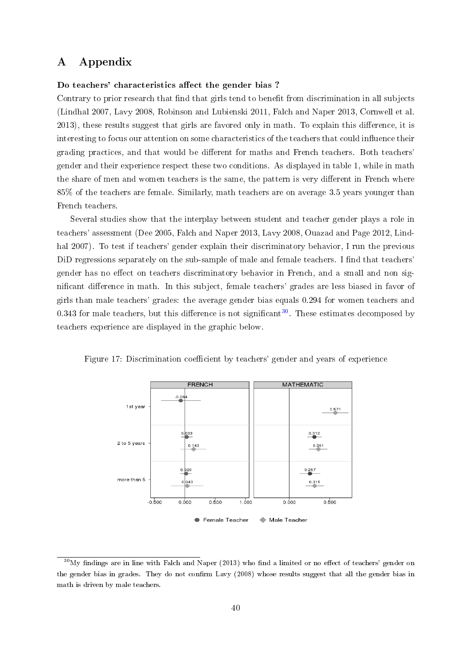# <span id="page-41-0"></span>A Appendix

#### Do teachers' characteristics affect the gender bias?

Contrary to prior research that find that girls tend to benefit from discrimination in all subjects (Lindhal 2007, Lavy 2008, Robinson and Lubienski 2011, Falch and Naper 2013, Cornwell et al. 2013), these results suggest that girls are favored only in math. To explain this difference, it is interesting to focus our attention on some characteristics of the teachers that could influence their grading practices, and that would be different for maths and French teachers. Both teachers' gender and their experience respect these two conditions. As displayed in table 1, while in math the share of men and women teachers is the same, the pattern is very different in French where 85% of the teachers are female. Similarly, math teachers are on average 3.5 years younger than French teachers.

Several studies show that the interplay between student and teacher gender plays a role in teachers' assessment (Dee 2005, Falch and Naper 2013, Lavy 2008, Ouazad and Page 2012, Lindhal 2007). To test if teachers' gender explain their discriminatory behavior, I run the previous DiD regressions separately on the sub-sample of male and female teachers. I find that teachers' gender has no effect on teachers discriminatory behavior in French, and a small and non significant difference in math. In this subject, female teachers' grades are less biased in favor of girls than male teachers' grades: the average gender bias equals 0.294 for women teachers and 0.343 for male teachers, but this difference is not significant<sup>[30](#page-41-1)</sup>. These estimates decomposed by teachers experience are displayed in the graphic below.



Figure 17: Discrimination coefficient by teachers' gender and years of experience

<span id="page-41-1"></span> $30$ My findings are in line with Falch and Naper (2013) who find a limited or no effect of teachers' gender on the gender bias in grades. They do not confirm Lavy (2008) whose results suggest that all the gender bias in math is driven by male teachers.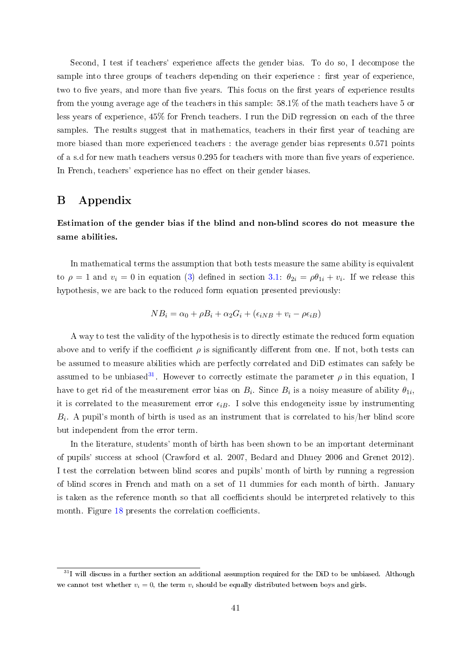Second, I test if teachers' experience affects the gender bias. To do so, I decompose the sample into three groups of teachers depending on their experience : first year of experience. two to five years, and more than five years. This focus on the first years of experience results from the young average age of the teachers in this sample: 58.1% of the math teachers have 5 or less years of experience, 45% for French teachers. I run the DiD regression on each of the three samples. The results suggest that in mathematics, teachers in their first year of teaching are more biased than more experienced teachers : the average gender bias represents 0.571 points of a s.d for new math teachers versus 0.295 for teachers with more than five years of experience. In French, teachers' experience has no effect on their gender biases.

## <span id="page-42-0"></span>B Appendix

Estimation of the gender bias if the blind and non-blind scores do not measure the same abilities.

In mathematical terms the assumption that both tests measure the same ability is equivalent to  $\rho = 1$  and  $v_i = 0$  in equation [\(3\)](#page-9-1) defined in section [3.1:](#page-8-0)  $\theta_{2i} = \rho \theta_{1i} + v_i$ . If we release this hypothesis, we are back to the reduced form equation presented previously:

$$
NB_i = \alpha_0 + \rho B_i + \alpha_2 G_i + (\epsilon_{iNB} + v_i - \rho \epsilon_{iB})
$$

A way to test the validity of the hypothesis is to directly estimate the reduced form equation above and to verify if the coefficient  $\rho$  is significantly different from one. If not, both tests can be assumed to measure abilities which are perfectly correlated and DiD estimates can safely be assumed to be unbiased<sup>[31](#page-42-1)</sup>. However to correctly estimate the parameter  $\rho$  in this equation, I have to get rid of the measurement error bias on  $B_i$ . Since  $B_i$  is a noisy measure of ability  $\theta_{1i}$ , it is correlated to the measurement error  $\epsilon_{iB}$ . I solve this endogeneity issue by instrumenting  $B_i$ . A pupil's month of birth is used as an instrument that is correlated to his/her blind score but independent from the error term.

In the literature, students' month of birth has been shown to be an important determinant of pupils' success at school (Crawford et al. 2007, Bedard and Dhuey 2006 and Grenet 2012). I test the correlation between blind scores and pupils' month of birth by running a regression of blind scores in French and math on a set of 11 dummies for each month of birth. January is taken as the reference month so that all coefficients should be interpreted relatively to this month. Figure [18](#page-43-0) presents the correlation coefficients.

<span id="page-42-1"></span> $31$ I will discuss in a further section an additional assumption required for the DiD to be unbiased. Although we cannot test whether  $v_i = 0$ , the term  $v_i$  should be equally distributed between boys and girls.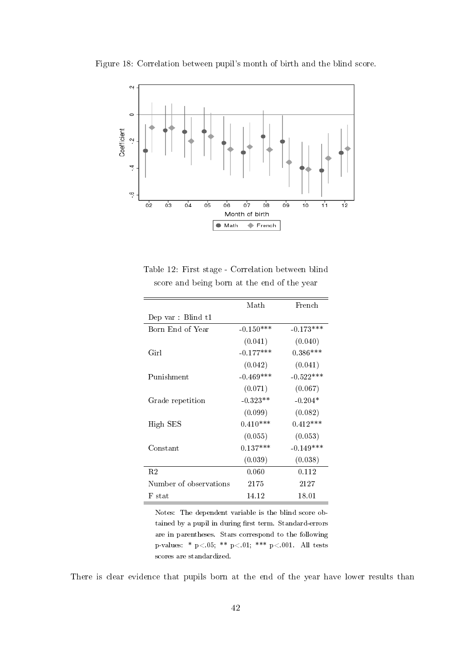

<span id="page-43-0"></span>Figure 18: Correlation between pupil's month of birth and the blind score.

<span id="page-43-1"></span>Table 12: First stage - Correlation between blind score and being born at the end of the year

|                        | Math        | French      |
|------------------------|-------------|-------------|
| Dep var : Blind t1     |             |             |
| Born End of Year       | $-0.150***$ | $-0.173***$ |
|                        | (0.041)     | (0.040)     |
| Girl                   | $-0.177***$ | $0.386***$  |
|                        | (0.042)     | (0.041)     |
| Punishment             | $-0.469***$ | $-0.522***$ |
|                        | (0.071)     | (0.067)     |
| Grade repetition       | $-0.323**$  | $-0.204*$   |
|                        | (0.099)     | (0.082)     |
| High SES               | $0.410***$  | $0.412***$  |
|                        | (0.055)     | (0.053)     |
| $\rm Constant$         | $0.137***$  | $-0.149***$ |
|                        | (0.039)     | (0.038)     |
| R <sub>2</sub>         | 0.060       | 0.112       |
| Number of observations | 2175        | 2127        |
| F stat                 | 14.12       | 18.01       |

Notes: The dependent variable is the blind score obtained by a pupil in during first term. Standard-errors are in parentheses. Stars correspond to the following p-values: \*  $p < .05$ ; \*\*  $p < .01$ ; \*\*\*  $p < .001$ . All tests scores are standardized.

There is clear evidence that pupils born at the end of the year have lower results than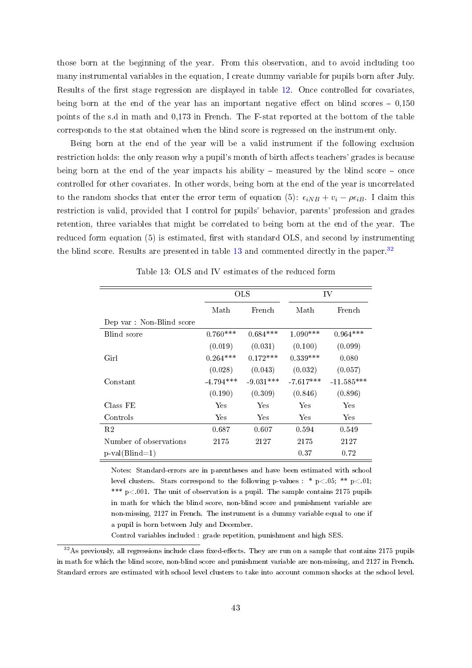those born at the beginning of the year. From this observation, and to avoid including too many instrumental variables in the equation, I create dummy variable for pupils born after July. Results of the first stage regression are displayed in table [12.](#page-43-1) Once controlled for covariates. being born at the end of the year has an important negative effect on blind scores  $-0.150$ points of the s.d in math and 0,173 in French. The F-stat reported at the bottom of the table corresponds to the stat obtained when the blind score is regressed on the instrument only.

Being born at the end of the year will be a valid instrument if the following exclusion restriction holds: the only reason why a pupil's month of birth affects teachers' grades is because being born at the end of the year impacts his ability  $-$  measured by the blind score  $-$  once controlled for other covariates. In other words, being born at the end of the year is uncorrelated to the random shocks that enter the error term of equation (5):  $\epsilon_{iNB} + v_i - \rho \epsilon_{iB}$ . I claim this restriction is valid, provided that I control for pupils' behavior, parents' profession and grades retention, three variables that might be correlated to being born at the end of the year. The reduced form equation  $(5)$  is estimated, first with standard OLS, and second by instrumenting the blind score. Results are presented in table  $13$  and commented directly in the paper.<sup>[32](#page-44-1)</sup>

<span id="page-44-0"></span>

|                          | <b>OLS</b>  |             | IV          |              |
|--------------------------|-------------|-------------|-------------|--------------|
|                          | Math        | French      | Math        | French       |
| Dep var: Non-Blind score |             |             |             |              |
| Blind score              | $0.760***$  | $0.684***$  | $1.090***$  | $0.964***$   |
|                          | (0.019)     | (0.031)     | (0.100)     | (0.099)      |
| Girl                     | $0.264***$  | $0.172***$  | $0.339***$  | 0.080        |
|                          | (0.028)     | (0.043)     | (0.032)     | (0.057)      |
| Constant                 | $-4.794***$ | $-9.031***$ | $-7.617***$ | $-11.585***$ |
|                          | (0.190)     | (0.309)     | (0.846)     | (0.896)      |
| Class FE                 | Yes         | Yes         | Yes         | Yes          |
| Controls                 | Yes.        | Yes         | Yes         | Yes.         |
| R2                       | 0.687       | 0.607       | 0.594       | 0.549        |
| Number of observations   | 2175        | 2127        | 2175        | 2127         |
| $p-value(Blind=1)$       |             |             | 0.37        | 0.72         |

Table 13: OLS and IV estimates of the reduced form

Notes: Standard-errors are in parentheses and have been estimated with school level clusters. Stars correspond to the following p-values : \*  $p < .05$ ; \*\*  $p < .01$ ; \*\*\*  $p < 0.01$ . The unit of observation is a pupil. The sample contains 2175 pupils in math for which the blind score, non-blind score and punishment variable are non-missing, 2127 in French. The instrument is a dummy variable equal to one if a pupil is born between July and December.

Control variables included : grade repetition, punishment and high SES.

<span id="page-44-1"></span> $32\text{As}$  previously, all regressions include class fixed-effects. They are run on a sample that contains 2175 pupils in math for which the blind score, non-blind score and punishment variable are non-missing, and 2127 in French. Standard errors are estimated with school level clusters to take into account common shocks at the school level.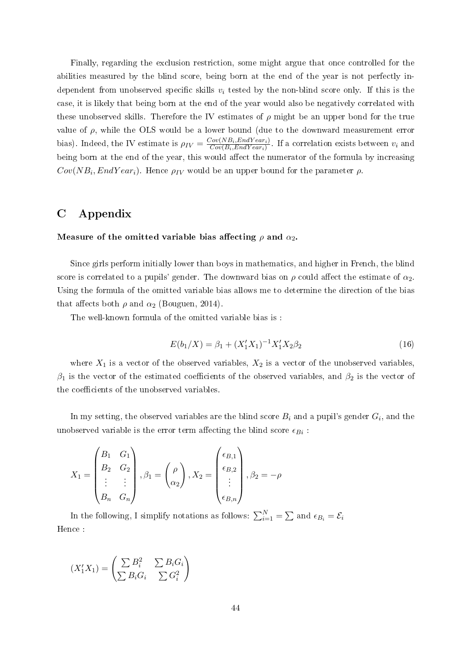Finally, regarding the exclusion restriction, some might argue that once controlled for the abilities measured by the blind score, being born at the end of the year is not perfectly independent from unobserved specific skills  $v_i$  tested by the non-blind score only. If this is the case, it is likely that being born at the end of the year would also be negatively correlated with these unobserved skills. Therefore the IV estimates of  $\rho$  might be an upper bond for the true value of  $\rho$ , while the OLS would be a lower bound (due to the downward measurement error bias). Indeed, the IV estimate is  $\rho_{IV} = \frac{Cov(NB_i, EndYear_i)}{Cov(B_i, EndYear_i)}$  $\frac{Cov(NB_i, EnaYear_i)}{Cov(B_i, EndYear_i)}$ . If a correlation exists between  $v_i$  and being born at the end of the year, this would affect the numerator of the formula by increasing  $Cov(NB_i, EndYear_i)$ . Hence  $\rho_{IV}$  would be an upper bound for the parameter  $\rho$ .

# <span id="page-45-0"></span>C Appendix

#### Measure of the omitted variable bias affecting  $\rho$  and  $\alpha_2$ .

Since girls perform initially lower than boys in mathematics, and higher in French, the blind score is correlated to a pupils' gender. The downward bias on  $\rho$  could affect the estimate of  $\alpha_2$ . Using the formula of the omitted variable bias allows me to determine the direction of the bias that affects both  $\rho$  and  $\alpha_2$  (Bouguen, 2014).

The well-known formula of the omitted variable bias is :

$$
E(b_1/X) = \beta_1 + (X_1'X_1)^{-1}X_1'X_2\beta_2\tag{16}
$$

where  $X_1$  is a vector of the observed variables,  $X_2$  is a vector of the unobserved variables,  $\beta_1$  is the vector of the estimated coefficients of the observed variables, and  $\beta_2$  is the vector of the coefficients of the unobserved variables

In my setting, the observed variables are the blind score  $B_i$  and a pupil's gender  $G_i,$  and the unobserved variable is the error term affecting the blind score  $\epsilon_{Bi}$ :

$$
X_1 = \begin{pmatrix} B_1 & G_1 \\ B_2 & G_2 \\ \vdots & \vdots \\ B_n & G_n \end{pmatrix}, \beta_1 = \begin{pmatrix} \rho \\ \alpha_2 \end{pmatrix}, X_2 = \begin{pmatrix} \epsilon_{B,1} \\ \epsilon_{B,2} \\ \vdots \\ \epsilon_{B,n} \end{pmatrix}, \beta_2 = -\rho
$$

In the following, I simplify notations as follows:  $\sum_{i=1}^{N} = \sum$  and  $\epsilon_{B_i} = \mathcal{E}_i$ Hence :

$$
(X_1'X_1) = \begin{pmatrix} \sum B_i^2 & \sum B_i G_i \\ \sum B_i G_i & \sum G_i^2 \end{pmatrix}
$$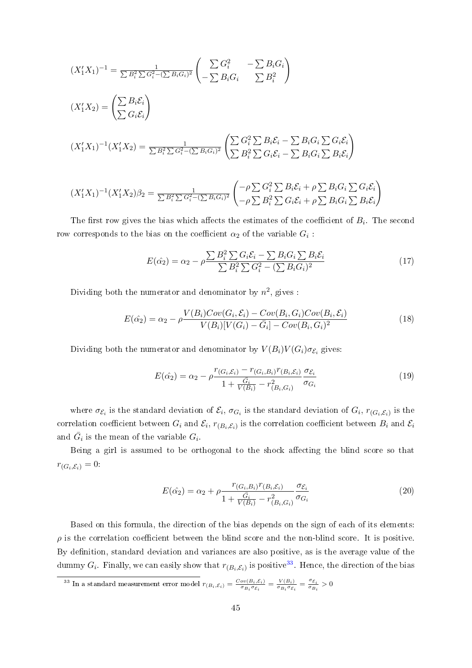$$
(X_1'X_1)^{-1} = \frac{1}{\sum B_i^2 \sum G_i^2 - (\sum B_i G_i)^2} \left( \sum B_i^2 - \sum B_i G_i \right)
$$
  
\n
$$
(X_1'X_2) = \left( \sum B_i \mathcal{E}_i \right)
$$
  
\n
$$
(X_1'X_1)^{-1}(X_1'X_2) = \frac{1}{\sum B_i^2 \sum G_i^2 - (\sum B_i G_i)^2} \left( \sum B_i^2 \sum B_i \mathcal{E}_i - \sum B_i G_i \sum G_i \mathcal{E}_i \right)
$$
  
\n
$$
(X_1'X_1)^{-1}(X_1'X_2) = \frac{1}{\sum B_i^2 \sum G_i^2 - (\sum B_i G_i)^2} \left( \sum B_i^2 \sum C_i \mathcal{E}_i - \sum B_i G_i \sum B_i \mathcal{E}_i \right)
$$
  
\n
$$
(X_1'X_1)^{-1}(X_1'X_2)\beta_2 = \frac{1}{\sum B_i^2 \sum G_i^2 - (\sum B_i G_i)^2} \left( \sum \beta_i^2 \sum B_i \mathcal{E}_i + \rho \sum B_i G_i \sum G_i \mathcal{E}_i \right)
$$

The first row gives the bias which affects the estimates of the coefficient of  $B_i$ . The second row corresponds to the bias on the coefficient  $\alpha_2$  of the variable  $G_i$  :

$$
E(\hat{\alpha_2}) = \alpha_2 - \rho \frac{\sum B_i^2 \sum G_i \mathcal{E}_i - \sum B_i G_i \sum B_i \mathcal{E}_i}{\sum B_i^2 \sum G_i^2 - (\sum B_i G_i)^2}
$$
(17)

Dividing both the numerator and denominator by  $n^2$ , gives :

$$
E(\hat{\alpha_2}) = \alpha_2 - \rho \frac{V(B_i)Cov(G_i, \mathcal{E}_i) - Cov(B_i, G_i)Cov(B_i, \mathcal{E}_i)}{V(B_i)[V(G_i) - \bar{G}_i] - Cov(B_i, G_i)^2}
$$
(18)

Dividing both the numerator and denominator by  $V(B_i)V(G_i)\sigma_{\mathcal{E}_i}$  gives:

$$
E(\hat{\alpha_2}) = \alpha_2 - \rho \frac{r_{(G_i, \mathcal{E}_i)} - r_{(G_i, B_i)} r_{(B_i, \mathcal{E}_i)}}{1 + \frac{\bar{G}_i}{V(B_i)} - r_{(B_i, G_i)}^2} \frac{\sigma_{\mathcal{E}_i}}{\sigma_{G_i}}
$$
(19)

where  $\sigma_{\mathcal{E}_i}$  is the standard deviation of  $\mathcal{E}_i$ ,  $\sigma_{G_i}$  is the standard deviation of  $G_i$ ,  $r_{(G_i,\mathcal{E}_i)}$  is the correlation coefficient between  $G_i$  and  $\mathcal{E}_i$ ,  $r_{(B_i,\mathcal{E}_i)}$  is the correlation coefficient between  $B_i$  and  $\mathcal{E}_i$ and  $\bar{G}_i$  is the mean of the variable  $G_i$ .

Being a girl is assumed to be orthogonal to the shock affecting the blind score so that  $r_{(G_i,\mathcal{E}_i)}=0$ :

$$
E(\hat{\alpha_2}) = \alpha_2 + \rho \frac{r_{(G_i, B_i)} r_{(B_i, \mathcal{E}_i)}}{1 + \frac{\bar{G}_i}{V(B_i)} - r_{(B_i, G_i)}^2} \frac{\sigma_{\mathcal{E}_i}}{\sigma_{G_i}}
$$
(20)

Based on this formula, the direction of the bias depends on the sign of each of its elements:  $\rho$  is the correlation coefficient between the blind score and the non-blind score. It is positive. By definition, standard deviation and variances are also positive, as is the average value of the dummy  $G_i$ . Finally, we can easily show that  $r_{(B_i,\mathcal{E}_i)}$  is positive<sup>[33](#page-46-0)</sup>. Hence, the direction of the bias

<span id="page-46-0"></span><sup>&</sup>lt;sup>33</sup> In a standard measurement error model  $r_{(B_i, \mathcal{E}_i)} = \frac{Cov(B_i, \mathcal{E}_i)}{\sigma_{B_i} \sigma_{\mathcal{E}_i}} = \frac{V(B_i)}{\sigma_{B_i} \sigma_{\mathcal{E}_i}} = \frac{\sigma_{\mathcal{E}_i}}{\sigma_{B_i}}$  $\frac{\sigma_{\mathcal{E}_i}}{\sigma_{B_i}} > 0$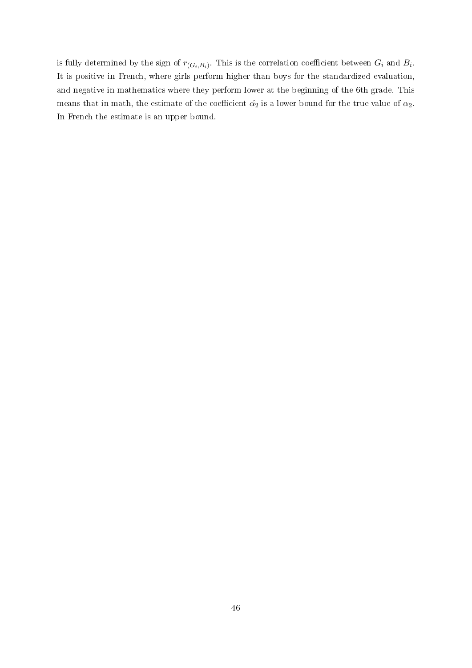is fully determined by the sign of  $r_{(G_i,B_i)}$ . This is the correlation coefficient between  $G_i$  and  $B_i$ . It is positive in French, where girls perform higher than boys for the standardized evaluation, and negative in mathematics where they perform lower at the beginning of the 6th grade. This means that in math, the estimate of the coefficient  $\hat{\alpha_2}$  is a lower bound for the true value of  $\alpha_2$ . In French the estimate is an upper bound.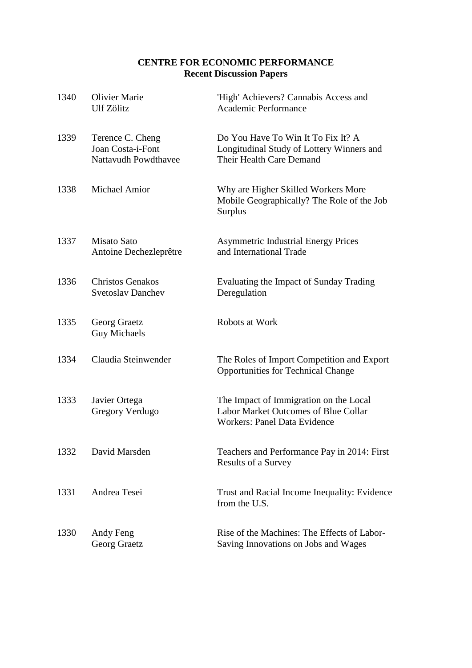# **CENTRE FOR ECONOMIC PERFORMANCE Recent Discussion Papers**

| 1340 | <b>Olivier Marie</b><br>Ulf Zölitz                                   | 'High' Achievers? Cannabis Access and<br><b>Academic Performance</b>                                                  |
|------|----------------------------------------------------------------------|-----------------------------------------------------------------------------------------------------------------------|
| 1339 | Terence C. Cheng<br>Joan Costa-i-Font<br><b>Nattavudh Powdthavee</b> | Do You Have To Win It To Fix It? A<br>Longitudinal Study of Lottery Winners and<br>Their Health Care Demand           |
| 1338 | <b>Michael Amior</b>                                                 | Why are Higher Skilled Workers More<br>Mobile Geographically? The Role of the Job<br>Surplus                          |
| 1337 | <b>Misato Sato</b><br>Antoine Dechezleprêtre                         | <b>Asymmetric Industrial Energy Prices</b><br>and International Trade                                                 |
| 1336 | <b>Christos Genakos</b><br><b>Svetoslav Danchev</b>                  | Evaluating the Impact of Sunday Trading<br>Deregulation                                                               |
| 1335 | Georg Graetz<br><b>Guy Michaels</b>                                  | Robots at Work                                                                                                        |
| 1334 | Claudia Steinwender                                                  | The Roles of Import Competition and Export<br><b>Opportunities for Technical Change</b>                               |
| 1333 | Javier Ortega<br>Gregory Verdugo                                     | The Impact of Immigration on the Local<br>Labor Market Outcomes of Blue Collar<br><b>Workers: Panel Data Evidence</b> |
| 1332 | David Marsden                                                        | Teachers and Performance Pay in 2014: First<br>Results of a Survey                                                    |
| 1331 | Andrea Tesei                                                         | Trust and Racial Income Inequality: Evidence<br>from the U.S.                                                         |
| 1330 | Andy Feng<br>Georg Graetz                                            | Rise of the Machines: The Effects of Labor-<br>Saving Innovations on Jobs and Wages                                   |